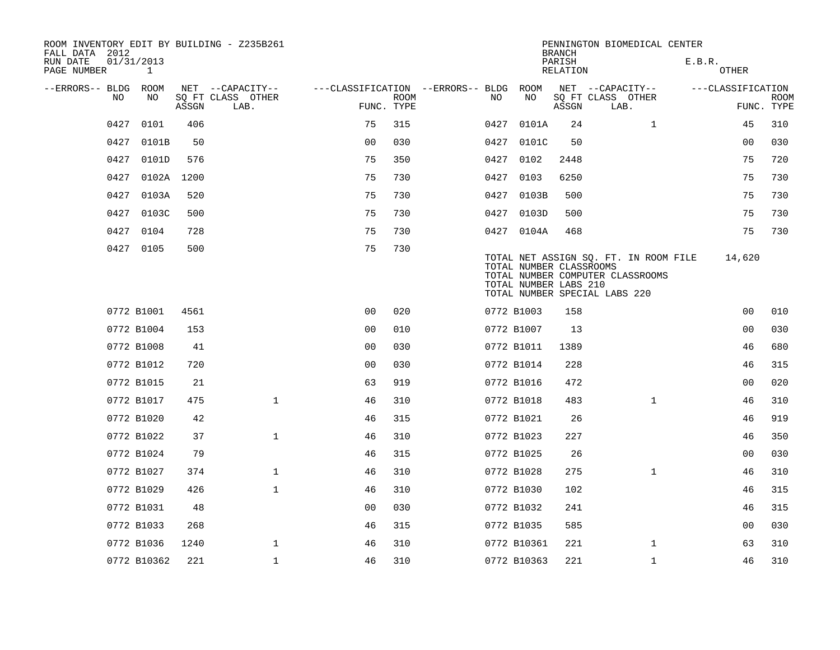| FALL DATA 2012          |                            |       | ROOM INVENTORY EDIT BY BUILDING - Z235B261 |                                   |             |      |                                                  | <b>BRANCH</b>             | PENNINGTON BIOMEDICAL CENTER                                                                               |                   |                |             |
|-------------------------|----------------------------|-------|--------------------------------------------|-----------------------------------|-------------|------|--------------------------------------------------|---------------------------|------------------------------------------------------------------------------------------------------------|-------------------|----------------|-------------|
| RUN DATE<br>PAGE NUMBER | 01/31/2013<br>$\mathbf{1}$ |       |                                            |                                   |             |      |                                                  | PARISH<br><b>RELATION</b> |                                                                                                            | E.B.R.<br>OTHER   |                |             |
| --ERRORS-- BLDG<br>NO   | ROOM<br>NO.                |       | NET --CAPACITY--<br>SQ FT CLASS OTHER      | ---CLASSIFICATION --ERRORS-- BLDG | <b>ROOM</b> | NO   | ROOM<br>NO                                       |                           | NET --CAPACITY--<br>SQ FT CLASS OTHER                                                                      | ---CLASSIFICATION |                | <b>ROOM</b> |
|                         |                            | ASSGN | LAB.                                       |                                   | FUNC. TYPE  |      |                                                  | ASSGN                     | LAB.                                                                                                       |                   |                | FUNC. TYPE  |
| 0427                    | 0101                       | 406   |                                            | 75                                | 315         | 0427 | 0101A                                            | 24                        | $\mathbf{1}$                                                                                               |                   | 45             | 310         |
| 0427                    | 0101B                      | 50    |                                            | 0 <sub>0</sub>                    | 030         | 0427 | 0101C                                            | 50                        |                                                                                                            |                   | 0 <sub>0</sub> | 030         |
| 0427                    | 0101D                      | 576   |                                            | 75                                | 350         | 0427 | 0102                                             | 2448                      |                                                                                                            |                   | 75             | 720         |
| 0427                    | 0102A                      | 1200  |                                            | 75                                | 730         | 0427 | 0103                                             | 6250                      |                                                                                                            |                   | 75             | 730         |
| 0427                    | 0103A                      | 520   |                                            | 75                                | 730         | 0427 | 0103B                                            | 500                       |                                                                                                            |                   | 75             | 730         |
| 0427                    | 0103C                      | 500   |                                            | 75                                | 730         | 0427 | 0103D                                            | 500                       |                                                                                                            |                   | 75             | 730         |
| 0427                    | 0104                       | 728   |                                            | 75                                | 730         |      | 0427 0104A                                       | 468                       |                                                                                                            |                   | 75             | 730         |
| 0427                    | 0105                       | 500   |                                            | 75                                | 730         |      | TOTAL NUMBER CLASSROOMS<br>TOTAL NUMBER LABS 210 |                           | TOTAL NET ASSIGN SQ. FT. IN ROOM FILE<br>TOTAL NUMBER COMPUTER CLASSROOMS<br>TOTAL NUMBER SPECIAL LABS 220 |                   | 14,620         |             |
|                         | 0772 B1001                 | 4561  |                                            | 0 <sup>0</sup>                    | 020         |      | 0772 B1003                                       | 158                       |                                                                                                            |                   | 0 <sub>0</sub> | 010         |
|                         | 0772 B1004                 | 153   |                                            | 0 <sub>0</sub>                    | 010         |      | 0772 B1007                                       | 13                        |                                                                                                            |                   | 0 <sub>0</sub> | 030         |
|                         | 0772 B1008                 | 41    |                                            | 0 <sub>0</sub>                    | 030         |      | 0772 B1011                                       | 1389                      |                                                                                                            |                   | 46             | 680         |
|                         | 0772 B1012                 | 720   |                                            | 0 <sub>0</sub>                    | 030         |      | 0772 B1014                                       | 228                       |                                                                                                            |                   | 46             | 315         |
|                         | 0772 B1015                 | 21    |                                            | 63                                | 919         |      | 0772 B1016                                       | 472                       |                                                                                                            |                   | 0 <sub>0</sub> | 020         |
|                         | 0772 B1017                 | 475   | $\mathbf{1}$                               | 46                                | 310         |      | 0772 B1018                                       | 483                       | $\mathbf{1}$                                                                                               |                   | 46             | 310         |
|                         | 0772 B1020                 | 42    |                                            | 46                                | 315         |      | 0772 B1021                                       | 26                        |                                                                                                            |                   | 46             | 919         |
|                         | 0772 B1022                 | 37    | $\mathbf{1}$                               | 46                                | 310         |      | 0772 B1023                                       | 227                       |                                                                                                            |                   | 46             | 350         |
|                         | 0772 B1024                 | 79    |                                            | 46                                | 315         |      | 0772 B1025                                       | 26                        |                                                                                                            |                   | 0 <sub>0</sub> | 030         |
|                         | 0772 B1027                 | 374   | $\mathbf 1$                                | 46                                | 310         |      | 0772 B1028                                       | 275                       | $\mathbf{1}$                                                                                               |                   | 46             | 310         |
|                         | 0772 B1029                 | 426   | $\mathbf{1}$                               | 46                                | 310         |      | 0772 B1030                                       | 102                       |                                                                                                            |                   | 46             | 315         |
|                         | 0772 B1031                 | 48    |                                            | 0 <sub>0</sub>                    | 030         |      | 0772 B1032                                       | 241                       |                                                                                                            |                   | 46             | 315         |
|                         | 0772 B1033                 | 268   |                                            | 46                                | 315         |      | 0772 B1035                                       | 585                       |                                                                                                            |                   | 00             | 030         |
|                         | 0772 B1036                 | 1240  | 1                                          | 46                                | 310         |      | 0772 B10361                                      | 221                       | $\mathbf{1}$                                                                                               |                   | 63             | 310         |
|                         | 0772 B10362                | 221   | $\mathbf{1}$                               | 46                                | 310         |      | 0772 B10363                                      | 221                       | $\mathbf{1}$                                                                                               |                   | 46             | 310         |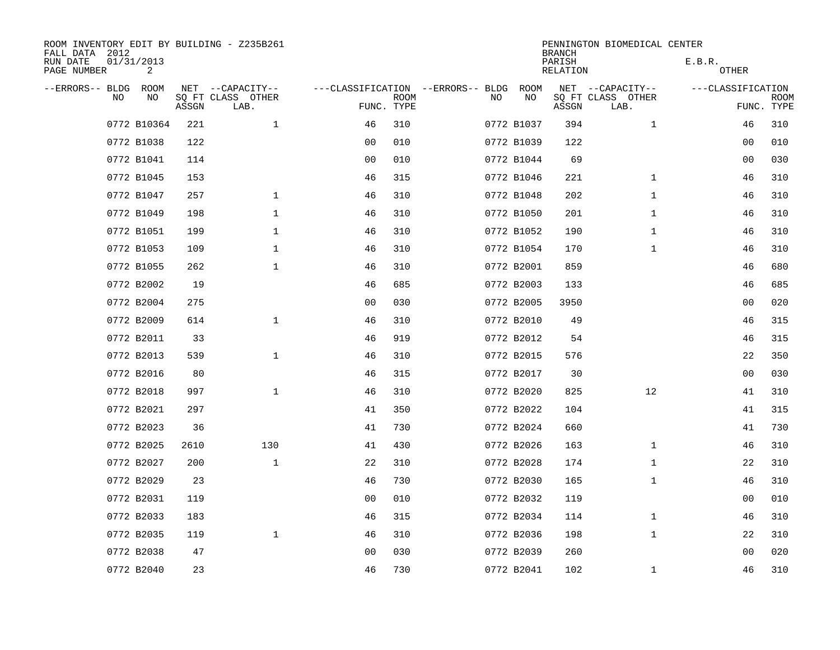| ROOM INVENTORY EDIT BY BUILDING - Z235B261<br>FALL DATA 2012 |                 |       |                           |                |             |                                        |            | <b>BRANCH</b>      | PENNINGTON BIOMEDICAL CENTER |                   |                           |
|--------------------------------------------------------------|-----------------|-------|---------------------------|----------------|-------------|----------------------------------------|------------|--------------------|------------------------------|-------------------|---------------------------|
| RUN DATE<br>PAGE NUMBER                                      | 01/31/2013<br>2 |       |                           |                |             |                                        |            | PARISH<br>RELATION |                              | E.B.R.<br>OTHER   |                           |
| --ERRORS-- BLDG ROOM                                         |                 |       | NET --CAPACITY--          |                |             | ---CLASSIFICATION --ERRORS-- BLDG ROOM |            |                    | NET --CAPACITY--             | ---CLASSIFICATION |                           |
| NO.                                                          | NO.             | ASSGN | SQ FT CLASS OTHER<br>LAB. | FUNC. TYPE     | <b>ROOM</b> | NO.                                    | NO         | ASSGN              | SQ FT CLASS OTHER<br>LAB.    |                   | <b>ROOM</b><br>FUNC. TYPE |
|                                                              | 0772 B10364     | 221   | $\mathbf{1}$              | 46             | 310         |                                        | 0772 B1037 | 394                | $\mathbf{1}$                 | 46                | 310                       |
|                                                              | 0772 B1038      | 122   |                           | 0 <sub>0</sub> | 010         |                                        | 0772 B1039 | 122                |                              | 0 <sub>0</sub>    | 010                       |
|                                                              | 0772 B1041      | 114   |                           | 0 <sub>0</sub> | 010         |                                        | 0772 B1044 | 69                 |                              | 0 <sub>0</sub>    | 030                       |
|                                                              | 0772 B1045      | 153   |                           | 46             | 315         |                                        | 0772 B1046 | 221                | $\mathbf{1}$                 | 46                | 310                       |
|                                                              | 0772 B1047      | 257   | $\mathbf 1$               | 46             | 310         |                                        | 0772 B1048 | 202                | $\mathbf{1}$                 | 46                | 310                       |
|                                                              | 0772 B1049      | 198   | $\mathbf 1$               | 46             | 310         |                                        | 0772 B1050 | 201                | $\mathbf{1}$                 | 46                | 310                       |
|                                                              | 0772 B1051      | 199   | $\mathbf{1}$              | 46             | 310         |                                        | 0772 B1052 | 190                | $\mathbf{1}$                 | 46                | 310                       |
|                                                              | 0772 B1053      | 109   | $\mathbf 1$               | 46             | 310         |                                        | 0772 B1054 | 170                | $\mathbf{1}$                 | 46                | 310                       |
|                                                              | 0772 B1055      | 262   | $\mathbf 1$               | 46             | 310         |                                        | 0772 B2001 | 859                |                              | 46                | 680                       |
|                                                              | 0772 B2002      | 19    |                           | 46             | 685         |                                        | 0772 B2003 | 133                |                              | 46                | 685                       |
|                                                              | 0772 B2004      | 275   |                           | 0 <sub>0</sub> | 030         |                                        | 0772 B2005 | 3950               |                              | 0 <sub>0</sub>    | 020                       |
|                                                              | 0772 B2009      | 614   | $\mathbf 1$               | 46             | 310         |                                        | 0772 B2010 | 49                 |                              | 46                | 315                       |
|                                                              | 0772 B2011      | 33    |                           | 46             | 919         |                                        | 0772 B2012 | 54                 |                              | 46                | 315                       |
|                                                              | 0772 B2013      | 539   | $\mathbf 1$               | 46             | 310         |                                        | 0772 B2015 | 576                |                              | 22                | 350                       |
|                                                              | 0772 B2016      | 80    |                           | 46             | 315         |                                        | 0772 B2017 | 30                 |                              | 0 <sub>0</sub>    | 030                       |
|                                                              | 0772 B2018      | 997   | $\mathbf{1}$              | 46             | 310         |                                        | 0772 B2020 | 825                | 12                           | 41                | 310                       |
|                                                              | 0772 B2021      | 297   |                           | 41             | 350         |                                        | 0772 B2022 | 104                |                              | 41                | 315                       |
|                                                              | 0772 B2023      | 36    |                           | 41             | 730         |                                        | 0772 B2024 | 660                |                              | 41                | 730                       |
|                                                              | 0772 B2025      | 2610  | 130                       | 41             | 430         |                                        | 0772 B2026 | 163                | $\mathbf{1}$                 | 46                | 310                       |
|                                                              | 0772 B2027      | 200   | $\mathbf{1}$              | 22             | 310         |                                        | 0772 B2028 | 174                | $\mathbf{1}$                 | 22                | 310                       |
|                                                              | 0772 B2029      | 23    |                           | 46             | 730         |                                        | 0772 B2030 | 165                | $\mathbf{1}$                 | 46                | 310                       |
|                                                              | 0772 B2031      | 119   |                           | 0 <sub>0</sub> | 010         |                                        | 0772 B2032 | 119                |                              | 00                | 010                       |
|                                                              | 0772 B2033      | 183   |                           | 46             | 315         |                                        | 0772 B2034 | 114                | $\mathbf{1}$                 | 46                | 310                       |
|                                                              | 0772 B2035      | 119   | $\mathbf{1}$              | 46             | 310         |                                        | 0772 B2036 | 198                | $\mathbf{1}$                 | 22                | 310                       |
|                                                              | 0772 B2038      | 47    |                           | 0 <sub>0</sub> | 030         |                                        | 0772 B2039 | 260                |                              | 00                | 020                       |
|                                                              | 0772 B2040      | 23    |                           | 46             | 730         |                                        | 0772 B2041 | 102                | $\mathbf{1}$                 | 46                | 310                       |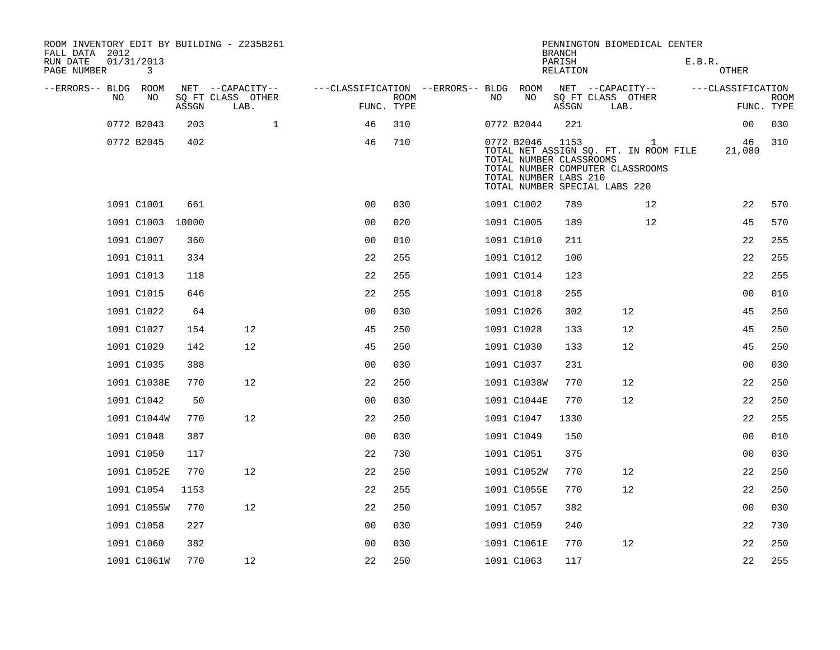| ROOM INVENTORY EDIT BY BUILDING - Z235B261<br>FALL DATA 2012 |                 |       |                           |                                        |             |     |                                                                | <b>BRANCH</b>      | PENNINGTON BIOMEDICAL CENTER                                                                                               |        |                   |                           |
|--------------------------------------------------------------|-----------------|-------|---------------------------|----------------------------------------|-------------|-----|----------------------------------------------------------------|--------------------|----------------------------------------------------------------------------------------------------------------------------|--------|-------------------|---------------------------|
| RUN DATE<br>PAGE NUMBER                                      | 01/31/2013<br>3 |       |                           |                                        |             |     |                                                                | PARISH<br>RELATION |                                                                                                                            | E.B.R. | <b>OTHER</b>      |                           |
| --ERRORS-- BLDG ROOM                                         |                 |       | NET --CAPACITY--          | ---CLASSIFICATION --ERRORS-- BLDG ROOM |             |     |                                                                |                    | NET --CAPACITY--                                                                                                           |        | ---CLASSIFICATION |                           |
| NO.                                                          | NO              | ASSGN | SQ FT CLASS OTHER<br>LAB. | FUNC. TYPE                             | <b>ROOM</b> | NO. | NO                                                             | ASSGN              | SQ FT CLASS OTHER<br>LAB.                                                                                                  |        |                   | <b>ROOM</b><br>FUNC. TYPE |
|                                                              | 0772 B2043      | 203   | $\mathbf 1$               | 46                                     | 310         |     | 0772 B2044                                                     | 221                |                                                                                                                            |        | 00                | 030                       |
|                                                              | 0772 B2045      | 402   |                           | 46                                     | 710         |     | 0772 B2046<br>TOTAL NUMBER CLASSROOMS<br>TOTAL NUMBER LABS 210 | 1153               | $\mathbf{1}$<br>TOTAL NET ASSIGN SQ. FT. IN ROOM FILE<br>TOTAL NUMBER COMPUTER CLASSROOMS<br>TOTAL NUMBER SPECIAL LABS 220 |        | 46<br>21,080      | 310                       |
|                                                              | 1091 C1001      | 661   |                           | 0 <sub>0</sub>                         | 030         |     | 1091 C1002                                                     | 789                | 12                                                                                                                         |        | 22                | 570                       |
|                                                              | 1091 C1003      | 10000 |                           | 0 <sub>0</sub>                         | 020         |     | 1091 C1005                                                     | 189                | 12                                                                                                                         |        | 45                | 570                       |
|                                                              | 1091 C1007      | 360   |                           | 0 <sup>0</sup>                         | 010         |     | 1091 C1010                                                     | 211                |                                                                                                                            |        | 22                | 255                       |
|                                                              | 1091 C1011      | 334   |                           | 22                                     | 255         |     | 1091 C1012                                                     | 100                |                                                                                                                            |        | 22                | 255                       |
|                                                              | 1091 C1013      | 118   |                           | 22                                     | 255         |     | 1091 C1014                                                     | 123                |                                                                                                                            |        | 22                | 255                       |
|                                                              | 1091 C1015      | 646   |                           | 22                                     | 255         |     | 1091 C1018                                                     | 255                |                                                                                                                            |        | 0 <sub>0</sub>    | 010                       |
|                                                              | 1091 C1022      | 64    |                           | 0 <sub>0</sub>                         | 030         |     | 1091 C1026                                                     | 302                | 12                                                                                                                         |        | 45                | 250                       |
|                                                              | 1091 C1027      | 154   | 12                        | 45                                     | 250         |     | 1091 C1028                                                     | 133                | 12                                                                                                                         |        | 45                | 250                       |
|                                                              | 1091 C1029      | 142   | 12                        | 45                                     | 250         |     | 1091 C1030                                                     | 133                | 12                                                                                                                         |        | 45                | 250                       |
|                                                              | 1091 C1035      | 388   |                           | 0 <sub>0</sub>                         | 030         |     | 1091 C1037                                                     | 231                |                                                                                                                            |        | 0 <sub>0</sub>    | 030                       |
|                                                              | 1091 C1038E     | 770   | 12                        | 22                                     | 250         |     | 1091 C1038W                                                    | 770                | 12                                                                                                                         |        | 22                | 250                       |
|                                                              | 1091 C1042      | 50    |                           | 0 <sub>0</sub>                         | 030         |     | 1091 C1044E                                                    | 770                | 12                                                                                                                         |        | 22                | 250                       |
|                                                              | 1091 C1044W     | 770   | 12                        | 22                                     | 250         |     | 1091 C1047                                                     | 1330               |                                                                                                                            |        | 22                | 255                       |
|                                                              | 1091 C1048      | 387   |                           | 0 <sub>0</sub>                         | 030         |     | 1091 C1049                                                     | 150                |                                                                                                                            |        | 0 <sub>0</sub>    | 010                       |
|                                                              | 1091 C1050      | 117   |                           | 22                                     | 730         |     | 1091 C1051                                                     | 375                |                                                                                                                            |        | 0 <sub>0</sub>    | 030                       |
|                                                              | 1091 C1052E     | 770   | 12                        | 22                                     | 250         |     | 1091 C1052W                                                    | 770                | 12                                                                                                                         |        | 22                | 250                       |
|                                                              | 1091 C1054      | 1153  |                           | 22                                     | 255         |     | 1091 C1055E                                                    | 770                | 12                                                                                                                         |        | 22                | 250                       |
|                                                              | 1091 C1055W     | 770   | 12                        | 22                                     | 250         |     | 1091 C1057                                                     | 382                |                                                                                                                            |        | 0 <sub>0</sub>    | 030                       |
|                                                              | 1091 C1058      | 227   |                           | 0 <sub>0</sub>                         | 030         |     | 1091 C1059                                                     | 240                |                                                                                                                            |        | 22                | 730                       |
|                                                              | 1091 C1060      | 382   |                           | 0 <sub>0</sub>                         | 030         |     | 1091 C1061E                                                    | 770                | 12                                                                                                                         |        | 22                | 250                       |
|                                                              | 1091 C1061W     | 770   | 12                        | 22                                     | 250         |     | 1091 C1063                                                     | 117                |                                                                                                                            |        | 22                | 255                       |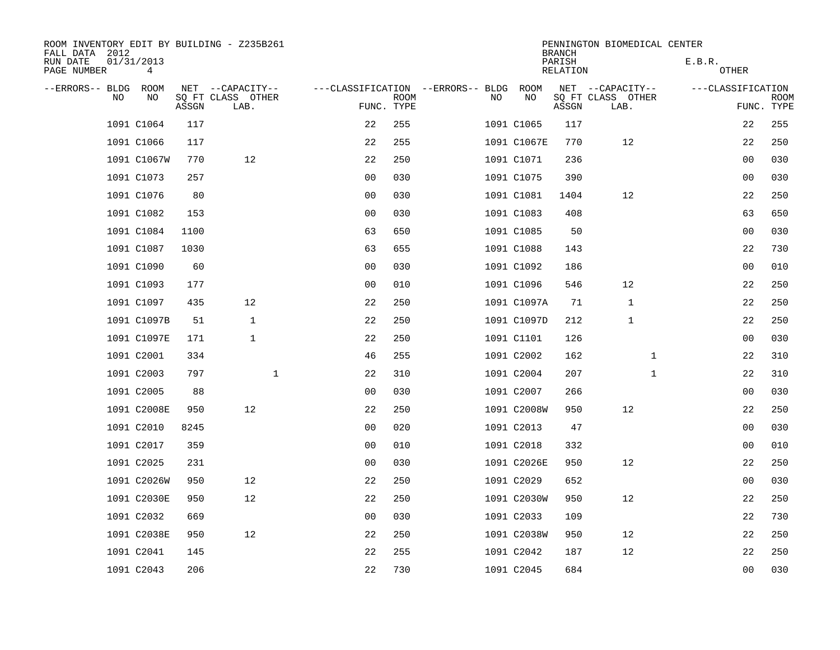| ROOM INVENTORY EDIT BY BUILDING - Z235B261<br>FALL DATA 2012 |                 |       |                           |                                   |             |    |             | <b>BRANCH</b>      | PENNINGTON BIOMEDICAL CENTER |                   |                           |
|--------------------------------------------------------------|-----------------|-------|---------------------------|-----------------------------------|-------------|----|-------------|--------------------|------------------------------|-------------------|---------------------------|
| RUN DATE<br>PAGE NUMBER                                      | 01/31/2013<br>4 |       |                           |                                   |             |    |             | PARISH<br>RELATION |                              | E.B.R.<br>OTHER   |                           |
| --ERRORS-- BLDG ROOM                                         |                 |       | NET --CAPACITY--          | ---CLASSIFICATION --ERRORS-- BLDG |             |    | ROOM        |                    | NET --CAPACITY--             | ---CLASSIFICATION |                           |
| NO                                                           | NO              | ASSGN | SQ FT CLASS OTHER<br>LAB. | FUNC. TYPE                        | <b>ROOM</b> | NO | NO          | ASSGN              | SQ FT CLASS OTHER<br>LAB.    |                   | <b>ROOM</b><br>FUNC. TYPE |
|                                                              | 1091 C1064      | 117   |                           | 22                                | 255         |    | 1091 C1065  | 117                |                              | 22                | 255                       |
|                                                              | 1091 C1066      | 117   |                           | 22                                | 255         |    | 1091 C1067E | 770                | 12                           | 22                | 250                       |
|                                                              | 1091 C1067W     | 770   | 12                        | 22                                | 250         |    | 1091 C1071  | 236                |                              | 0 <sub>0</sub>    | 030                       |
|                                                              | 1091 C1073      | 257   |                           | 0 <sub>0</sub>                    | 030         |    | 1091 C1075  | 390                |                              | 00                | 030                       |
|                                                              | 1091 C1076      | 80    |                           | 0 <sub>0</sub>                    | 030         |    | 1091 C1081  | 1404               | 12                           | 22                | 250                       |
|                                                              | 1091 C1082      | 153   |                           | 0 <sub>0</sub>                    | 030         |    | 1091 C1083  | 408                |                              | 63                | 650                       |
|                                                              | 1091 C1084      | 1100  |                           | 63                                | 650         |    | 1091 C1085  | 50                 |                              | 0 <sub>0</sub>    | 030                       |
|                                                              | 1091 C1087      | 1030  |                           | 63                                | 655         |    | 1091 C1088  | 143                |                              | 22                | 730                       |
|                                                              | 1091 C1090      | 60    |                           | 0 <sub>0</sub>                    | 030         |    | 1091 C1092  | 186                |                              | 0 <sub>0</sub>    | 010                       |
|                                                              | 1091 C1093      | 177   |                           | 0 <sub>0</sub>                    | 010         |    | 1091 C1096  | 546                | 12                           | 22                | 250                       |
|                                                              | 1091 C1097      | 435   | 12                        | 22                                | 250         |    | 1091 C1097A | 71                 | $\mathbf 1$                  | 22                | 250                       |
|                                                              | 1091 C1097B     | 51    | $\mathbf{1}$              | 22                                | 250         |    | 1091 C1097D | 212                | 1                            | 22                | 250                       |
|                                                              | 1091 C1097E     | 171   | $\mathbf{1}$              | 22                                | 250         |    | 1091 C1101  | 126                |                              | 0 <sub>0</sub>    | 030                       |
|                                                              | 1091 C2001      | 334   |                           | 46                                | 255         |    | 1091 C2002  | 162                | $\mathbf{1}$                 | 22                | 310                       |
|                                                              | 1091 C2003      | 797   | $\mathbf 1$               | 22                                | 310         |    | 1091 C2004  | 207                | $\mathbf{1}$                 | 22                | 310                       |
|                                                              | 1091 C2005      | 88    |                           | 0 <sub>0</sub>                    | 030         |    | 1091 C2007  | 266                |                              | 00                | 030                       |
|                                                              | 1091 C2008E     | 950   | 12                        | 22                                | 250         |    | 1091 C2008W | 950                | 12                           | 22                | 250                       |
|                                                              | 1091 C2010      | 8245  |                           | 0 <sub>0</sub>                    | 020         |    | 1091 C2013  | 47                 |                              | 00                | 030                       |
|                                                              | 1091 C2017      | 359   |                           | 0 <sub>0</sub>                    | 010         |    | 1091 C2018  | 332                |                              | 0 <sub>0</sub>    | 010                       |
|                                                              | 1091 C2025      | 231   |                           | 0 <sub>0</sub>                    | 030         |    | 1091 C2026E | 950                | 12                           | 22                | 250                       |
|                                                              | 1091 C2026W     | 950   | 12                        | 22                                | 250         |    | 1091 C2029  | 652                |                              | 00                | 030                       |
|                                                              | 1091 C2030E     | 950   | 12                        | 22                                | 250         |    | 1091 C2030W | 950                | 12                           | 22                | 250                       |
|                                                              | 1091 C2032      | 669   |                           | 0 <sub>0</sub>                    | 030         |    | 1091 C2033  | 109                |                              | 22                | 730                       |
|                                                              | 1091 C2038E     | 950   | 12                        | 22                                | 250         |    | 1091 C2038W | 950                | 12                           | 22                | 250                       |
|                                                              | 1091 C2041      | 145   |                           | 22                                | 255         |    | 1091 C2042  | 187                | 12                           | 22                | 250                       |
|                                                              | 1091 C2043      | 206   |                           | 22                                | 730         |    | 1091 C2045  | 684                |                              | 0 <sub>0</sub>    | 030                       |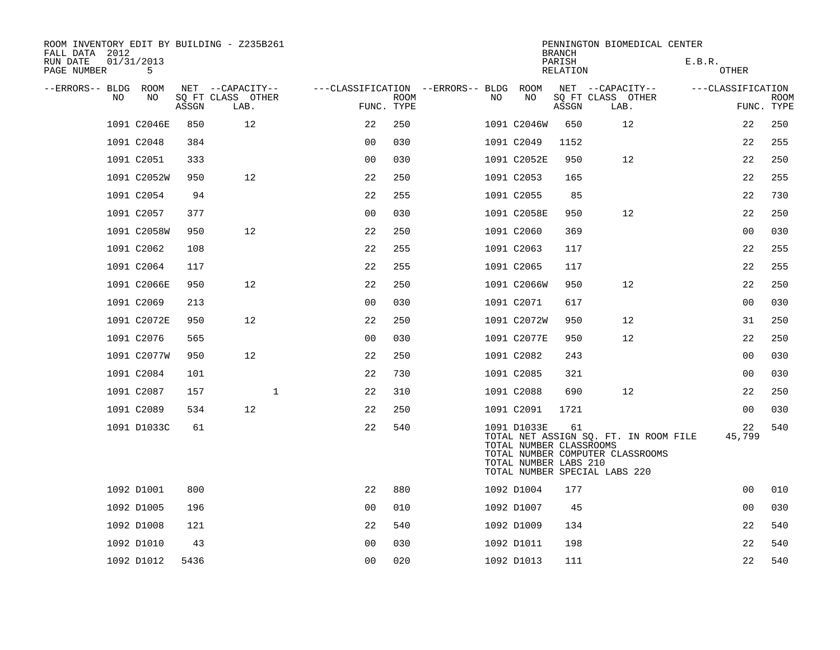| ROOM INVENTORY EDIT BY BUILDING - Z235B261<br>FALL DATA 2012 |                 |       |                           |                                   |                           |     |                                                                 | <b>BRANCH</b>      | PENNINGTON BIOMEDICAL CENTER                                                                               |                   |                |                           |
|--------------------------------------------------------------|-----------------|-------|---------------------------|-----------------------------------|---------------------------|-----|-----------------------------------------------------------------|--------------------|------------------------------------------------------------------------------------------------------------|-------------------|----------------|---------------------------|
| RUN DATE<br>PAGE NUMBER                                      | 01/31/2013<br>5 |       |                           |                                   |                           |     |                                                                 | PARISH<br>RELATION |                                                                                                            | E.B.R.<br>OTHER   |                |                           |
| --ERRORS-- BLDG ROOM                                         |                 |       | NET --CAPACITY--          | ---CLASSIFICATION --ERRORS-- BLDG |                           |     | ROOM                                                            |                    | NET --CAPACITY--                                                                                           | ---CLASSIFICATION |                |                           |
| NO.                                                          | NO.             | ASSGN | SQ FT CLASS OTHER<br>LAB. |                                   | <b>ROOM</b><br>FUNC. TYPE | NO. | NO                                                              | ASSGN              | SQ FT CLASS OTHER<br>LAB.                                                                                  |                   |                | <b>ROOM</b><br>FUNC. TYPE |
|                                                              | 1091 C2046E     | 850   | 12                        | 22                                | 250                       |     | 1091 C2046W                                                     | 650                | 12                                                                                                         |                   | 22             | 250                       |
|                                                              | 1091 C2048      | 384   |                           | 0 <sub>0</sub>                    | 030                       |     | 1091 C2049                                                      | 1152               |                                                                                                            |                   | 22             | 255                       |
|                                                              | 1091 C2051      | 333   |                           | 0 <sub>0</sub>                    | 030                       |     | 1091 C2052E                                                     | 950                | 12                                                                                                         |                   | 22             | 250                       |
|                                                              | 1091 C2052W     | 950   | 12                        | 22                                | 250                       |     | 1091 C2053                                                      | 165                |                                                                                                            |                   | 22             | 255                       |
|                                                              | 1091 C2054      | 94    |                           | 22                                | 255                       |     | 1091 C2055                                                      | 85                 |                                                                                                            |                   | 22             | 730                       |
|                                                              | 1091 C2057      | 377   |                           | 0 <sub>0</sub>                    | 030                       |     | 1091 C2058E                                                     | 950                | 12                                                                                                         |                   | 22             | 250                       |
|                                                              | 1091 C2058W     | 950   | 12                        | 22                                | 250                       |     | 1091 C2060                                                      | 369                |                                                                                                            |                   | 00             | 030                       |
|                                                              | 1091 C2062      | 108   |                           | 22                                | 255                       |     | 1091 C2063                                                      | 117                |                                                                                                            |                   | 22             | 255                       |
|                                                              | 1091 C2064      | 117   |                           | 22                                | 255                       |     | 1091 C2065                                                      | 117                |                                                                                                            |                   | 22             | 255                       |
|                                                              | 1091 C2066E     | 950   | 12                        | 22                                | 250                       |     | 1091 C2066W                                                     | 950                | 12                                                                                                         |                   | 22             | 250                       |
|                                                              | 1091 C2069      | 213   |                           | 0 <sub>0</sub>                    | 030                       |     | 1091 C2071                                                      | 617                |                                                                                                            |                   | 0 <sub>0</sub> | 030                       |
|                                                              | 1091 C2072E     | 950   | 12                        | 22                                | 250                       |     | 1091 C2072W                                                     | 950                | 12                                                                                                         |                   | 31             | 250                       |
|                                                              | 1091 C2076      | 565   |                           | 0 <sub>0</sub>                    | 030                       |     | 1091 C2077E                                                     | 950                | 12                                                                                                         |                   | 22             | 250                       |
|                                                              | 1091 C2077W     | 950   | 12                        | 22                                | 250                       |     | 1091 C2082                                                      | 243                |                                                                                                            |                   | 0 <sub>0</sub> | 030                       |
|                                                              | 1091 C2084      | 101   |                           | 22                                | 730                       |     | 1091 C2085                                                      | 321                |                                                                                                            |                   | 00             | 030                       |
|                                                              | 1091 C2087      | 157   | $\mathbf 1$               | 22                                | 310                       |     | 1091 C2088                                                      | 690                | 12                                                                                                         |                   | 22             | 250                       |
|                                                              | 1091 C2089      | 534   | 12                        | 22                                | 250                       |     | 1091 C2091                                                      | 1721               |                                                                                                            |                   | 00             | 030                       |
|                                                              | 1091 D1033C     | 61    |                           | 22                                | 540                       |     | 1091 D1033E<br>TOTAL NUMBER CLASSROOMS<br>TOTAL NUMBER LABS 210 | 61                 | TOTAL NET ASSIGN SQ. FT. IN ROOM FILE<br>TOTAL NUMBER COMPUTER CLASSROOMS<br>TOTAL NUMBER SPECIAL LABS 220 |                   | 22<br>45,799   | 540                       |
|                                                              | 1092 D1001      | 800   |                           | 22                                | 880                       |     | 1092 D1004                                                      | 177                |                                                                                                            |                   | 0 <sub>0</sub> | 010                       |
|                                                              | 1092 D1005      | 196   |                           | 0 <sub>0</sub>                    | 010                       |     | 1092 D1007                                                      | 45                 |                                                                                                            |                   | 00             | 030                       |
|                                                              | 1092 D1008      | 121   |                           | 22                                | 540                       |     | 1092 D1009                                                      | 134                |                                                                                                            |                   | 22             | 540                       |
|                                                              | 1092 D1010      | 43    |                           | 0 <sub>0</sub>                    | 030                       |     | 1092 D1011                                                      | 198                |                                                                                                            |                   | 22             | 540                       |
|                                                              | 1092 D1012      | 5436  |                           | 0 <sub>0</sub>                    | 020                       |     | 1092 D1013                                                      | 111                |                                                                                                            |                   | 22             | 540                       |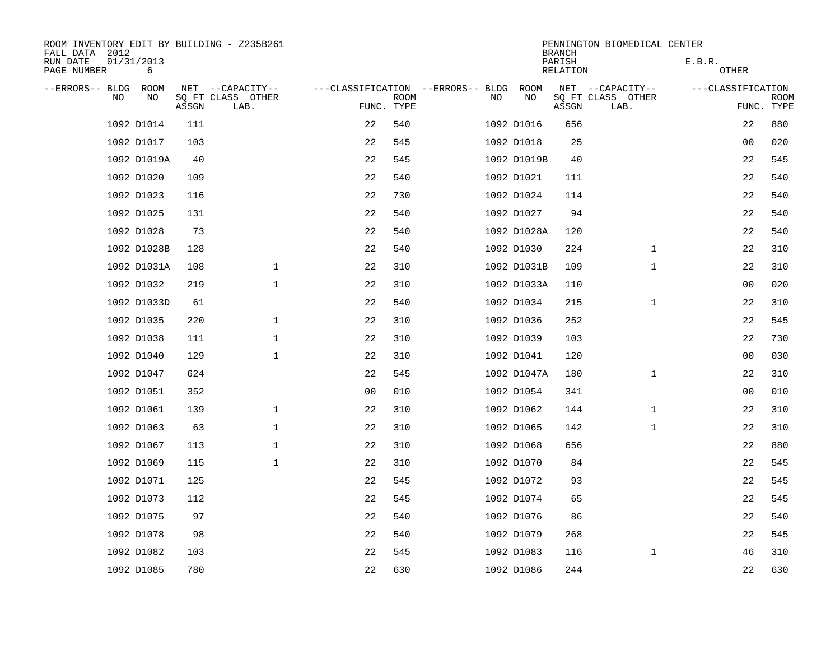| ROOM INVENTORY EDIT BY BUILDING - Z235B261<br>FALL DATA 2012 |                 |       |                           |                                   |             |     |             | <b>BRANCH</b>      | PENNINGTON BIOMEDICAL CENTER |                   |                           |
|--------------------------------------------------------------|-----------------|-------|---------------------------|-----------------------------------|-------------|-----|-------------|--------------------|------------------------------|-------------------|---------------------------|
| RUN DATE<br>PAGE NUMBER                                      | 01/31/2013<br>6 |       |                           |                                   |             |     |             | PARISH<br>RELATION |                              | E.B.R.<br>OTHER   |                           |
| --ERRORS-- BLDG ROOM                                         |                 |       | NET --CAPACITY--          | ---CLASSIFICATION --ERRORS-- BLDG |             |     | ROOM        |                    | NET --CAPACITY--             | ---CLASSIFICATION |                           |
| NO.                                                          | NO.             | ASSGN | SQ FT CLASS OTHER<br>LAB. | FUNC. TYPE                        | <b>ROOM</b> | NO. | NO          | ASSGN              | SQ FT CLASS OTHER<br>LAB.    |                   | <b>ROOM</b><br>FUNC. TYPE |
|                                                              | 1092 D1014      | 111   |                           | 22                                | 540         |     | 1092 D1016  | 656                |                              | 22                | 880                       |
|                                                              | 1092 D1017      | 103   |                           | 22                                | 545         |     | 1092 D1018  | 25                 |                              | 0 <sub>0</sub>    | 020                       |
|                                                              | 1092 D1019A     | 40    |                           | 22                                | 545         |     | 1092 D1019B | 40                 |                              | 22                | 545                       |
|                                                              | 1092 D1020      | 109   |                           | 22                                | 540         |     | 1092 D1021  | 111                |                              | 22                | 540                       |
|                                                              | 1092 D1023      | 116   |                           | 22                                | 730         |     | 1092 D1024  | 114                |                              | 22                | 540                       |
|                                                              | 1092 D1025      | 131   |                           | 22                                | 540         |     | 1092 D1027  | 94                 |                              | 22                | 540                       |
|                                                              | 1092 D1028      | 73    |                           | 22                                | 540         |     | 1092 D1028A | 120                |                              | 22                | 540                       |
|                                                              | 1092 D1028B     | 128   |                           | 22                                | 540         |     | 1092 D1030  | 224                | $\mathbf{1}$                 | 22                | 310                       |
|                                                              | 1092 D1031A     | 108   | $\mathbf{1}$              | 22                                | 310         |     | 1092 D1031B | 109                | $\mathbf{1}$                 | 22                | 310                       |
|                                                              | 1092 D1032      | 219   | $\mathbf{1}$              | 22                                | 310         |     | 1092 D1033A | 110                |                              | 0 <sub>0</sub>    | 020                       |
|                                                              | 1092 D1033D     | 61    |                           | 22                                | 540         |     | 1092 D1034  | 215                | $\mathbf{1}$                 | 22                | 310                       |
|                                                              | 1092 D1035      | 220   | $\mathbf 1$               | 22                                | 310         |     | 1092 D1036  | 252                |                              | 22                | 545                       |
|                                                              | 1092 D1038      | 111   | $\mathbf 1$               | 22                                | 310         |     | 1092 D1039  | 103                |                              | 22                | 730                       |
|                                                              | 1092 D1040      | 129   | $\mathbf{1}$              | 22                                | 310         |     | 1092 D1041  | 120                |                              | 00                | 030                       |
|                                                              | 1092 D1047      | 624   |                           | 22                                | 545         |     | 1092 D1047A | 180                | $\mathbf{1}$                 | 22                | 310                       |
|                                                              | 1092 D1051      | 352   |                           | 0 <sub>0</sub>                    | 010         |     | 1092 D1054  | 341                |                              | 0 <sub>0</sub>    | 010                       |
|                                                              | 1092 D1061      | 139   | $\mathbf 1$               | 22                                | 310         |     | 1092 D1062  | 144                | $\mathbf{1}$                 | 22                | 310                       |
|                                                              | 1092 D1063      | 63    | $\mathbf 1$               | 22                                | 310         |     | 1092 D1065  | 142                | $\mathbf{1}$                 | 22                | 310                       |
|                                                              | 1092 D1067      | 113   | $\mathbf 1$               | 22                                | 310         |     | 1092 D1068  | 656                |                              | 22                | 880                       |
|                                                              | 1092 D1069      | 115   | $\mathbf{1}$              | 22                                | 310         |     | 1092 D1070  | 84                 |                              | 22                | 545                       |
|                                                              | 1092 D1071      | 125   |                           | 22                                | 545         |     | 1092 D1072  | 93                 |                              | 22                | 545                       |
|                                                              | 1092 D1073      | 112   |                           | 22                                | 545         |     | 1092 D1074  | 65                 |                              | 22                | 545                       |
|                                                              | 1092 D1075      | 97    |                           | 22                                | 540         |     | 1092 D1076  | 86                 |                              | 22                | 540                       |
|                                                              | 1092 D1078      | 98    |                           | 22                                | 540         |     | 1092 D1079  | 268                |                              | 22                | 545                       |
|                                                              | 1092 D1082      | 103   |                           | 22                                | 545         |     | 1092 D1083  | 116                | $\mathbf{1}$                 | 46                | 310                       |
|                                                              | 1092 D1085      | 780   |                           | 22                                | 630         |     | 1092 D1086  | 244                |                              | 22                | 630                       |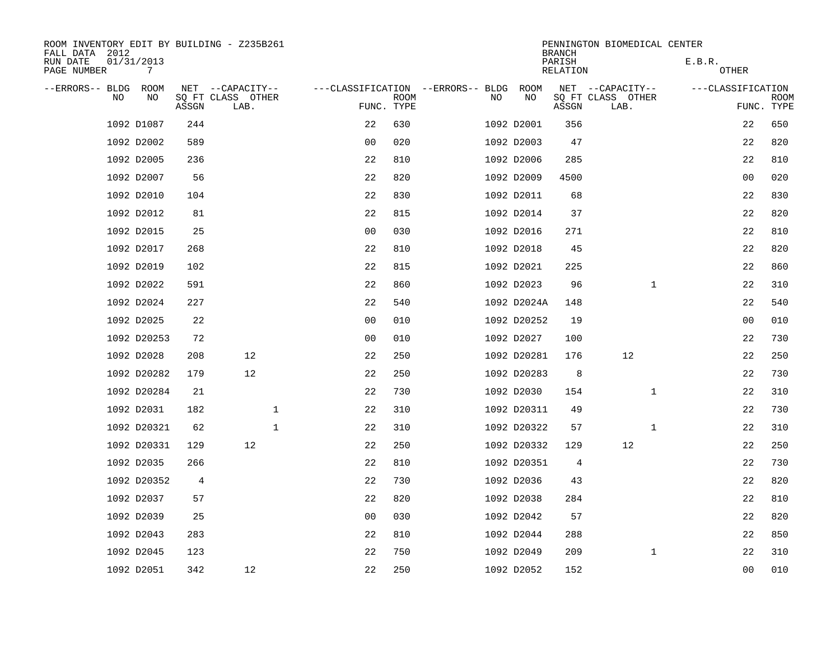| ROOM INVENTORY EDIT BY BUILDING - Z235B261<br>FALL DATA 2012 |                 |       |                           |             |                                        |             |     |             | <b>BRANCH</b>      | PENNINGTON BIOMEDICAL CENTER |              |                   |                           |
|--------------------------------------------------------------|-----------------|-------|---------------------------|-------------|----------------------------------------|-------------|-----|-------------|--------------------|------------------------------|--------------|-------------------|---------------------------|
| RUN DATE<br>PAGE NUMBER                                      | 01/31/2013<br>7 |       |                           |             |                                        |             |     |             | PARISH<br>RELATION |                              |              | E.B.R.<br>OTHER   |                           |
| --ERRORS-- BLDG ROOM                                         |                 |       | NET --CAPACITY--          |             | ---CLASSIFICATION --ERRORS-- BLDG ROOM |             |     |             |                    | NET --CAPACITY--             |              | ---CLASSIFICATION |                           |
| NO.                                                          | NO              | ASSGN | SQ FT CLASS OTHER<br>LAB. |             | FUNC. TYPE                             | <b>ROOM</b> | NO. | NO          | ASSGN              | SQ FT CLASS OTHER<br>LAB.    |              |                   | <b>ROOM</b><br>FUNC. TYPE |
|                                                              | 1092 D1087      | 244   |                           |             | 22                                     | 630         |     | 1092 D2001  | 356                |                              |              | 22                | 650                       |
|                                                              | 1092 D2002      | 589   |                           |             | 0 <sub>0</sub>                         | 020         |     | 1092 D2003  | 47                 |                              |              | 22                | 820                       |
|                                                              | 1092 D2005      | 236   |                           |             | 22                                     | 810         |     | 1092 D2006  | 285                |                              |              | 22                | 810                       |
|                                                              | 1092 D2007      | 56    |                           |             | 22                                     | 820         |     | 1092 D2009  | 4500               |                              |              | 00                | 020                       |
|                                                              | 1092 D2010      | 104   |                           |             | 22                                     | 830         |     | 1092 D2011  | 68                 |                              |              | 22                | 830                       |
|                                                              | 1092 D2012      | 81    |                           |             | 22                                     | 815         |     | 1092 D2014  | 37                 |                              |              | 22                | 820                       |
|                                                              | 1092 D2015      | 25    |                           |             | 0 <sub>0</sub>                         | 030         |     | 1092 D2016  | 271                |                              |              | 22                | 810                       |
|                                                              | 1092 D2017      | 268   |                           |             | 22                                     | 810         |     | 1092 D2018  | 45                 |                              |              | 22                | 820                       |
|                                                              | 1092 D2019      | 102   |                           |             | 22                                     | 815         |     | 1092 D2021  | 225                |                              |              | 22                | 860                       |
|                                                              | 1092 D2022      | 591   |                           |             | 22                                     | 860         |     | 1092 D2023  | 96                 |                              | $\mathbf{1}$ | 22                | 310                       |
|                                                              | 1092 D2024      | 227   |                           |             | 22                                     | 540         |     | 1092 D2024A | 148                |                              |              | 22                | 540                       |
|                                                              | 1092 D2025      | 22    |                           |             | 0 <sub>0</sub>                         | 010         |     | 1092 D20252 | 19                 |                              |              | 0 <sub>0</sub>    | 010                       |
|                                                              | 1092 D20253     | 72    |                           |             | 0 <sub>0</sub>                         | 010         |     | 1092 D2027  | 100                |                              |              | 22                | 730                       |
|                                                              | 1092 D2028      | 208   | 12                        |             | 22                                     | 250         |     | 1092 D20281 | 176                | 12                           |              | 22                | 250                       |
|                                                              | 1092 D20282     | 179   | 12                        |             | 22                                     | 250         |     | 1092 D20283 | 8                  |                              |              | 22                | 730                       |
|                                                              | 1092 D20284     | 21    |                           |             | 22                                     | 730         |     | 1092 D2030  | 154                |                              | $\mathbf{1}$ | 22                | 310                       |
|                                                              | 1092 D2031      | 182   |                           | $\mathbf 1$ | 22                                     | 310         |     | 1092 D20311 | 49                 |                              |              | 22                | 730                       |
|                                                              | 1092 D20321     | 62    |                           | $\mathbf 1$ | 22                                     | 310         |     | 1092 D20322 | 57                 |                              | $\mathbf{1}$ | 22                | 310                       |
|                                                              | 1092 D20331     | 129   | 12                        |             | 22                                     | 250         |     | 1092 D20332 | 129                | 12                           |              | 22                | 250                       |
|                                                              | 1092 D2035      | 266   |                           |             | 22                                     | 810         |     | 1092 D20351 | $\overline{4}$     |                              |              | 22                | 730                       |
|                                                              | 1092 D20352     | 4     |                           |             | 22                                     | 730         |     | 1092 D2036  | 43                 |                              |              | 22                | 820                       |
|                                                              | 1092 D2037      | 57    |                           |             | 22                                     | 820         |     | 1092 D2038  | 284                |                              |              | 22                | 810                       |
|                                                              | 1092 D2039      | 25    |                           |             | 0 <sub>0</sub>                         | 030         |     | 1092 D2042  | 57                 |                              |              | 22                | 820                       |
|                                                              | 1092 D2043      | 283   |                           |             | 22                                     | 810         |     | 1092 D2044  | 288                |                              |              | 22                | 850                       |
|                                                              | 1092 D2045      | 123   |                           |             | 22                                     | 750         |     | 1092 D2049  | 209                |                              | $\mathbf{1}$ | 22                | 310                       |
|                                                              | 1092 D2051      | 342   | 12                        |             | 22                                     | 250         |     | 1092 D2052  | 152                |                              |              | 0 <sub>0</sub>    | 010                       |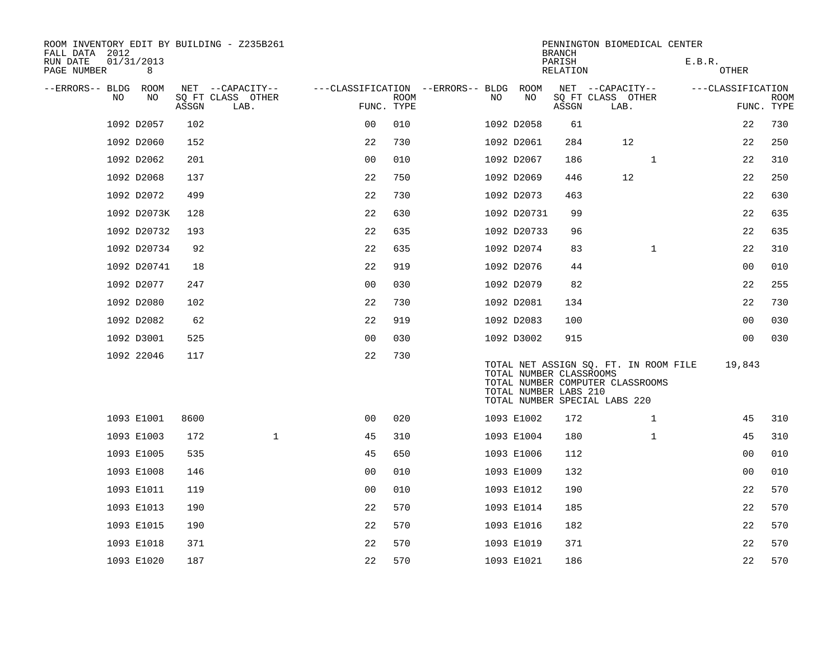| ROOM INVENTORY EDIT BY BUILDING - Z235B261<br>FALL DATA 2012 |                 |       |                                               |                                                      |             |    |                                                  | <b>BRANCH</b>      | PENNINGTON BIOMEDICAL CENTER                                                                               |        |                                 |             |
|--------------------------------------------------------------|-----------------|-------|-----------------------------------------------|------------------------------------------------------|-------------|----|--------------------------------------------------|--------------------|------------------------------------------------------------------------------------------------------------|--------|---------------------------------|-------------|
| RUN DATE<br>PAGE NUMBER                                      | 01/31/2013<br>8 |       |                                               |                                                      |             |    |                                                  | PARISH<br>RELATION |                                                                                                            | E.B.R. | OTHER                           |             |
| --ERRORS-- BLDG ROOM<br>NO                                   | NO              | ASSGN | NET --CAPACITY--<br>SQ FT CLASS OTHER<br>LAB. | ---CLASSIFICATION --ERRORS-- BLDG ROOM<br>FUNC. TYPE | <b>ROOM</b> | NO | NO                                               | ASSGN              | NET --CAPACITY--<br>SQ FT CLASS OTHER<br>LAB.                                                              |        | ---CLASSIFICATION<br>FUNC. TYPE | <b>ROOM</b> |
|                                                              | 1092 D2057      | 102   |                                               | 0 <sub>0</sub>                                       | 010         |    | 1092 D2058                                       | 61                 |                                                                                                            |        | 22                              | 730         |
|                                                              | 1092 D2060      | 152   |                                               | 22                                                   | 730         |    | 1092 D2061                                       | 284                | 12                                                                                                         |        | 22                              | 250         |
|                                                              | 1092 D2062      | 201   |                                               | 0 <sub>0</sub>                                       | 010         |    | 1092 D2067                                       | 186                | $\mathbf{1}$                                                                                               |        | 22                              | 310         |
|                                                              | 1092 D2068      | 137   |                                               | 22                                                   | 750         |    | 1092 D2069                                       | 446                | 12                                                                                                         |        | 22                              | 250         |
|                                                              | 1092 D2072      | 499   |                                               | 22                                                   | 730         |    | 1092 D2073                                       | 463                |                                                                                                            |        | 22                              | 630         |
|                                                              | 1092 D2073K     | 128   |                                               | 22                                                   | 630         |    | 1092 D20731                                      | 99                 |                                                                                                            |        | 22                              | 635         |
|                                                              | 1092 D20732     | 193   |                                               | 22                                                   | 635         |    | 1092 D20733                                      | 96                 |                                                                                                            |        | 22                              | 635         |
|                                                              | 1092 D20734     | 92    |                                               | 22                                                   | 635         |    | 1092 D2074                                       | 83                 | $\mathbf{1}$                                                                                               |        | 22                              | 310         |
|                                                              | 1092 D20741     | 18    |                                               | 22                                                   | 919         |    | 1092 D2076                                       | 44                 |                                                                                                            |        | 0 <sub>0</sub>                  | 010         |
|                                                              | 1092 D2077      | 247   |                                               | 0 <sub>0</sub>                                       | 030         |    | 1092 D2079                                       | 82                 |                                                                                                            |        | 22                              | 255         |
|                                                              | 1092 D2080      | 102   |                                               | 22                                                   | 730         |    | 1092 D2081                                       | 134                |                                                                                                            |        | 22                              | 730         |
|                                                              | 1092 D2082      | 62    |                                               | 22                                                   | 919         |    | 1092 D2083                                       | 100                |                                                                                                            |        | 0 <sub>0</sub>                  | 030         |
|                                                              | 1092 D3001      | 525   |                                               | 0 <sub>0</sub>                                       | 030         |    | 1092 D3002                                       | 915                |                                                                                                            |        | 00                              | 030         |
|                                                              | 1092 22046      | 117   |                                               | 22                                                   | 730         |    | TOTAL NUMBER CLASSROOMS<br>TOTAL NUMBER LABS 210 |                    | TOTAL NET ASSIGN SQ. FT. IN ROOM FILE<br>TOTAL NUMBER COMPUTER CLASSROOMS<br>TOTAL NUMBER SPECIAL LABS 220 |        | 19,843                          |             |
|                                                              | 1093 E1001      | 8600  |                                               | 0 <sub>0</sub>                                       | 020         |    | 1093 E1002                                       | 172                | $\mathbf{1}$                                                                                               |        | 45                              | 310         |
|                                                              | 1093 E1003      | 172   | $\mathbf 1$                                   | 45                                                   | 310         |    | 1093 E1004                                       | 180                | $\mathbf{1}$                                                                                               |        | 45                              | 310         |
|                                                              | 1093 E1005      | 535   |                                               | 45                                                   | 650         |    | 1093 E1006                                       | 112                |                                                                                                            |        | 0 <sub>0</sub>                  | 010         |
|                                                              | 1093 E1008      | 146   |                                               | 0 <sub>0</sub>                                       | 010         |    | 1093 E1009                                       | 132                |                                                                                                            |        | 0 <sub>0</sub>                  | 010         |
|                                                              | 1093 E1011      | 119   |                                               | 0 <sub>0</sub>                                       | 010         |    | 1093 E1012                                       | 190                |                                                                                                            |        | 22                              | 570         |
|                                                              | 1093 E1013      | 190   |                                               | 22                                                   | 570         |    | 1093 E1014                                       | 185                |                                                                                                            |        | 22                              | 570         |
|                                                              | 1093 E1015      | 190   |                                               | 22                                                   | 570         |    | 1093 E1016                                       | 182                |                                                                                                            |        | 22                              | 570         |
|                                                              | 1093 E1018      | 371   |                                               | 22                                                   | 570         |    | 1093 E1019                                       | 371                |                                                                                                            |        | 22                              | 570         |
|                                                              | 1093 E1020      | 187   |                                               | 22                                                   | 570         |    | 1093 E1021                                       | 186                |                                                                                                            |        | 22                              | 570         |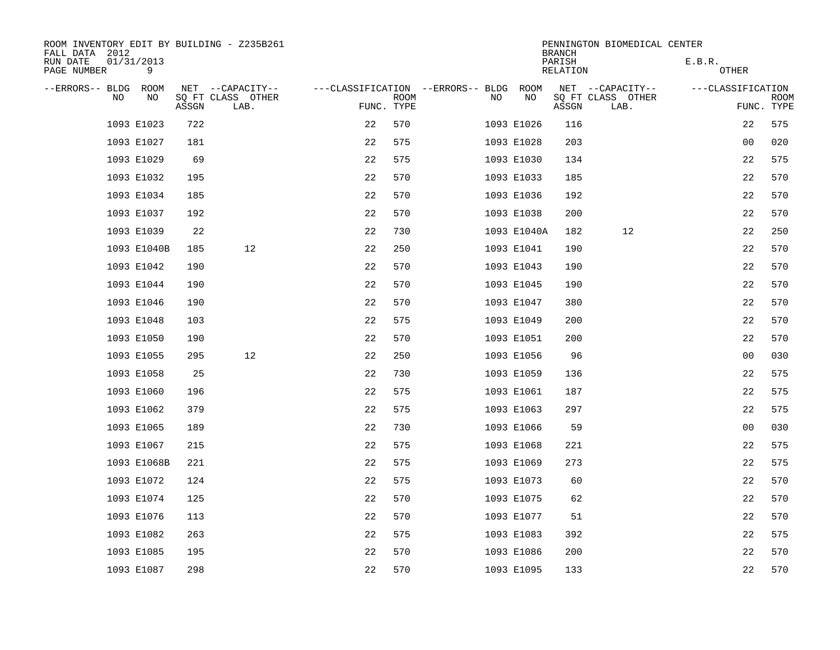| ROOM INVENTORY EDIT BY BUILDING - Z235B261<br>FALL DATA 2012 |                 |       |                           |                                        |             |    |             | <b>BRANCH</b>      | PENNINGTON BIOMEDICAL CENTER |        |                   |                           |
|--------------------------------------------------------------|-----------------|-------|---------------------------|----------------------------------------|-------------|----|-------------|--------------------|------------------------------|--------|-------------------|---------------------------|
| RUN DATE<br>PAGE NUMBER                                      | 01/31/2013<br>9 |       |                           |                                        |             |    |             | PARISH<br>RELATION |                              | E.B.R. | OTHER             |                           |
| --ERRORS-- BLDG ROOM                                         |                 |       | NET --CAPACITY--          | ---CLASSIFICATION --ERRORS-- BLDG ROOM |             |    |             |                    | NET --CAPACITY--             |        | ---CLASSIFICATION |                           |
| NO                                                           | NO              | ASSGN | SQ FT CLASS OTHER<br>LAB. | FUNC. TYPE                             | <b>ROOM</b> | NO | NO          | ASSGN              | SQ FT CLASS OTHER<br>LAB.    |        |                   | <b>ROOM</b><br>FUNC. TYPE |
|                                                              | 1093 E1023      | 722   |                           | 22                                     | 570         |    | 1093 E1026  | 116                |                              |        | 22                | 575                       |
|                                                              | 1093 E1027      | 181   |                           | 22                                     | 575         |    | 1093 E1028  | 203                |                              |        | 00                | 020                       |
|                                                              | 1093 E1029      | 69    |                           | 22                                     | 575         |    | 1093 E1030  | 134                |                              |        | 22                | 575                       |
|                                                              | 1093 E1032      | 195   |                           | 22                                     | 570         |    | 1093 E1033  | 185                |                              |        | 22                | 570                       |
|                                                              | 1093 E1034      | 185   |                           | 22                                     | 570         |    | 1093 E1036  | 192                |                              |        | 22                | 570                       |
|                                                              | 1093 E1037      | 192   |                           | 22                                     | 570         |    | 1093 E1038  | 200                |                              |        | 22                | 570                       |
|                                                              | 1093 E1039      | 22    |                           | 22                                     | 730         |    | 1093 E1040A | 182                | 12                           |        | 22                | 250                       |
|                                                              | 1093 E1040B     | 185   | 12                        | 22                                     | 250         |    | 1093 E1041  | 190                |                              |        | 22                | 570                       |
|                                                              | 1093 E1042      | 190   |                           | 22                                     | 570         |    | 1093 E1043  | 190                |                              |        | 22                | 570                       |
|                                                              | 1093 E1044      | 190   |                           | 22                                     | 570         |    | 1093 E1045  | 190                |                              |        | 22                | 570                       |
|                                                              | 1093 E1046      | 190   |                           | 22                                     | 570         |    | 1093 E1047  | 380                |                              |        | 22                | 570                       |
|                                                              | 1093 E1048      | 103   |                           | 22                                     | 575         |    | 1093 E1049  | 200                |                              |        | 22                | 570                       |
|                                                              | 1093 E1050      | 190   |                           | 22                                     | 570         |    | 1093 E1051  | 200                |                              |        | 22                | 570                       |
|                                                              | 1093 E1055      | 295   | 12                        | 22                                     | 250         |    | 1093 E1056  | 96                 |                              |        | 0 <sub>0</sub>    | 030                       |
|                                                              | 1093 E1058      | 25    |                           | 22                                     | 730         |    | 1093 E1059  | 136                |                              |        | 22                | 575                       |
|                                                              | 1093 E1060      | 196   |                           | 22                                     | 575         |    | 1093 E1061  | 187                |                              |        | 22                | 575                       |
|                                                              | 1093 E1062      | 379   |                           | 22                                     | 575         |    | 1093 E1063  | 297                |                              |        | 22                | 575                       |
|                                                              | 1093 E1065      | 189   |                           | 22                                     | 730         |    | 1093 E1066  | 59                 |                              |        | 00                | 030                       |
|                                                              | 1093 E1067      | 215   |                           | 22                                     | 575         |    | 1093 E1068  | 221                |                              |        | 22                | 575                       |
|                                                              | 1093 E1068B     | 221   |                           | 22                                     | 575         |    | 1093 E1069  | 273                |                              |        | 22                | 575                       |
|                                                              | 1093 E1072      | 124   |                           | 22                                     | 575         |    | 1093 E1073  | 60                 |                              |        | 22                | 570                       |
|                                                              | 1093 E1074      | 125   |                           | 22                                     | 570         |    | 1093 E1075  | 62                 |                              |        | 22                | 570                       |
|                                                              | 1093 E1076      | 113   |                           | 22                                     | 570         |    | 1093 E1077  | 51                 |                              |        | 22                | 570                       |
|                                                              | 1093 E1082      | 263   |                           | 22                                     | 575         |    | 1093 E1083  | 392                |                              |        | 22                | 575                       |
|                                                              | 1093 E1085      | 195   |                           | 22                                     | 570         |    | 1093 E1086  | 200                |                              |        | 22                | 570                       |
|                                                              | 1093 E1087      | 298   |                           | 22                                     | 570         |    | 1093 E1095  | 133                |                              |        | 22                | 570                       |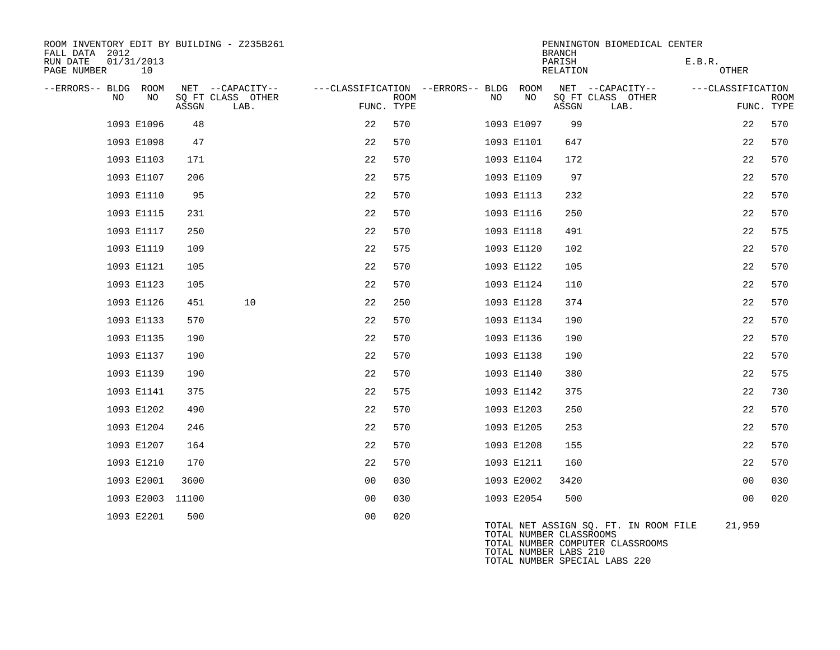| ROOM INVENTORY EDIT BY BUILDING - Z235B261<br>FALL DATA 2012 |                                                        |                           |                                               | PENNINGTON BIOMEDICAL CENTER<br><b>BRANCH</b>                                                        |                                                |
|--------------------------------------------------------------|--------------------------------------------------------|---------------------------|-----------------------------------------------|------------------------------------------------------------------------------------------------------|------------------------------------------------|
| 01/31/2013<br>RUN DATE<br>10<br>PAGE NUMBER                  |                                                        |                           |                                               | PARISH<br>RELATION                                                                                   | E.B.R.<br>OTHER                                |
| --ERRORS-- BLDG<br>ROOM<br>NO.<br>NO.                        | NET --CAPACITY--<br>SO FT CLASS OTHER<br>ASSGN<br>LAB. | <b>ROOM</b><br>FUNC. TYPE | ---CLASSIFICATION --ERRORS-- BLDG ROOM<br>NO. | NET --CAPACITY--<br>NO<br>SQ FT CLASS OTHER<br>ASSGN<br>LAB.                                         | ---CLASSIFICATION<br><b>ROOM</b><br>FUNC. TYPE |
| 1093 E1096                                                   | 48                                                     | 22<br>570                 | 1093 E1097                                    | 99                                                                                                   | 22<br>570                                      |
| 1093 E1098                                                   | 47                                                     | 22<br>570                 | 1093 E1101                                    | 647                                                                                                  | 570<br>22                                      |
| 1093 E1103                                                   | 171                                                    | 22<br>570                 | 1093 E1104                                    | 172                                                                                                  | 22<br>570                                      |
| 1093 E1107                                                   | 206                                                    | 22<br>575                 | 1093 E1109                                    | 97                                                                                                   | 22<br>570                                      |
| 1093 E1110                                                   | 95                                                     | 22<br>570                 | 1093 E1113                                    | 232                                                                                                  | 22<br>570                                      |
| 1093 E1115                                                   | 231                                                    | 22<br>570                 | 1093 E1116                                    | 250                                                                                                  | 570<br>22                                      |
| 1093 E1117                                                   | 250                                                    | 22<br>570                 | 1093 E1118                                    | 491                                                                                                  | 22<br>575                                      |
| 1093 E1119                                                   | 109                                                    | 22<br>575                 | 1093 E1120                                    | 102                                                                                                  | 22<br>570                                      |
| 1093 E1121                                                   | 105                                                    | 22<br>570                 | 1093 E1122                                    | 105                                                                                                  | 22<br>570                                      |
| 1093 E1123                                                   | 105                                                    | 570<br>22                 | 1093 E1124                                    | 110                                                                                                  | 570<br>22                                      |
| 1093 E1126                                                   | 10<br>451                                              | 22<br>250                 | 1093 E1128                                    | 374                                                                                                  | 22<br>570                                      |
| 1093 E1133                                                   | 570                                                    | 22<br>570                 | 1093 E1134                                    | 190                                                                                                  | 570<br>22                                      |
| 1093 E1135                                                   | 190                                                    | 22<br>570                 | 1093 E1136                                    | 190                                                                                                  | 22<br>570                                      |
| 1093 E1137                                                   | 190                                                    | 22<br>570                 | 1093 E1138                                    | 190                                                                                                  | 22<br>570                                      |
| 1093 E1139                                                   | 190                                                    | 22<br>570                 | 1093 E1140                                    | 380                                                                                                  | 575<br>22                                      |
| 1093 E1141                                                   | 375                                                    | 22<br>575                 | 1093 E1142                                    | 375                                                                                                  | 22<br>730                                      |
| 1093 E1202                                                   | 490                                                    | 22<br>570                 | 1093 E1203                                    | 250                                                                                                  | 22<br>570                                      |
| 1093 E1204                                                   | 246                                                    | 22<br>570                 | 1093 E1205                                    | 253                                                                                                  | 22<br>570                                      |
| 1093 E1207                                                   | 164                                                    | 22<br>570                 | 1093 E1208                                    | 155                                                                                                  | 570<br>22                                      |
| 1093 E1210                                                   | 170                                                    | 22<br>570                 | 1093 E1211                                    | 160                                                                                                  | 22<br>570                                      |
| 1093 E2001                                                   | 3600                                                   | 0 <sub>0</sub><br>030     | 1093 E2002                                    | 3420                                                                                                 | 0 <sub>0</sub><br>030                          |
| 1093 E2003                                                   | 11100                                                  | 0 <sub>0</sub><br>030     | 1093 E2054                                    | 500                                                                                                  | 020<br>00                                      |
| 1093 E2201                                                   | 500                                                    | 020<br>0 <sub>0</sub>     |                                               | TOTAL NET ASSIGN SQ. FT. IN ROOM FILE<br>TOTAL NUMBER CLASSROOMS<br>TOTAL NUMBER COMPUTER CLASSROOMS | 21,959                                         |

TOTAL NUMBER COMPUTER CLASSROOMS TOTAL NUMBER LABS 210 TOTAL NUMBER SPECIAL LABS 220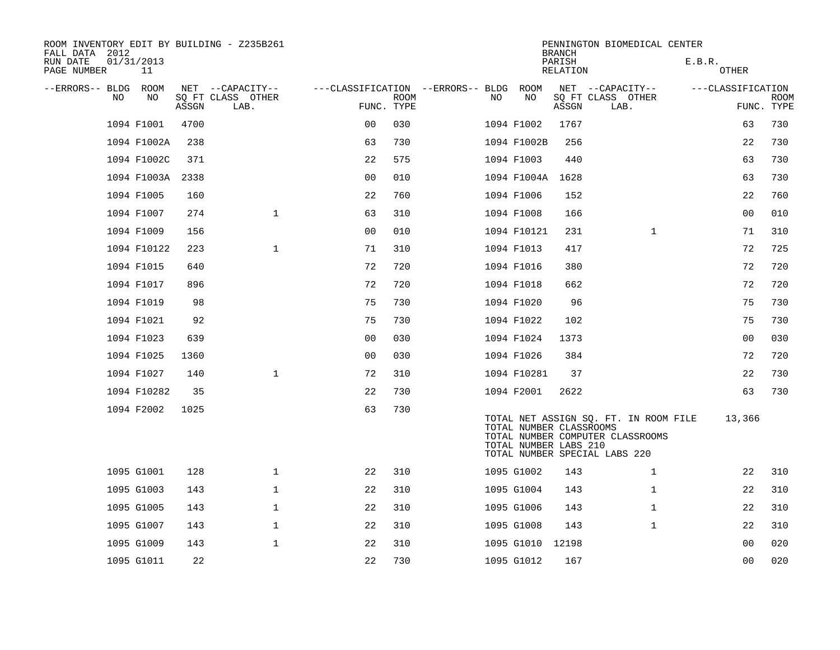| ROOM INVENTORY EDIT BY BUILDING - Z235B261<br>FALL DATA 2012 |                  |       |                                               |                                                 |             |     |                                                  | <b>BRANCH</b>             | PENNINGTON BIOMEDICAL CENTER                                                                               |                   |                           |
|--------------------------------------------------------------|------------------|-------|-----------------------------------------------|-------------------------------------------------|-------------|-----|--------------------------------------------------|---------------------------|------------------------------------------------------------------------------------------------------------|-------------------|---------------------------|
| RUN DATE<br>PAGE NUMBER                                      | 01/31/2013<br>11 |       |                                               |                                                 |             |     |                                                  | PARISH<br><b>RELATION</b> |                                                                                                            | E.B.R.<br>OTHER   |                           |
| --ERRORS-- BLDG<br>NO.                                       | ROOM<br>NO.      | ASSGN | NET --CAPACITY--<br>SQ FT CLASS OTHER<br>LAB. | ---CLASSIFICATION --ERRORS-- BLDG<br>FUNC. TYPE | <b>ROOM</b> | NO. | ROOM<br>NO                                       | ASSGN                     | NET --CAPACITY--<br>SQ FT CLASS OTHER<br>LAB.                                                              | ---CLASSIFICATION | <b>ROOM</b><br>FUNC. TYPE |
|                                                              | 1094 F1001       | 4700  |                                               | 0 <sub>0</sub>                                  | 030         |     | 1094 F1002                                       | 1767                      |                                                                                                            | 63                | 730                       |
|                                                              | 1094 F1002A      | 238   |                                               | 63                                              | 730         |     | 1094 F1002B                                      | 256                       |                                                                                                            | 22                | 730                       |
|                                                              | 1094 F1002C      | 371   |                                               | 22                                              | 575         |     | 1094 F1003                                       | 440                       |                                                                                                            | 63                | 730                       |
|                                                              | 1094 F1003A      | 2338  |                                               | 0 <sub>0</sub>                                  | 010         |     | 1094 F1004A                                      | 1628                      |                                                                                                            | 63                | 730                       |
|                                                              | 1094 F1005       | 160   |                                               | 22                                              | 760         |     | 1094 F1006                                       | 152                       |                                                                                                            | 22                | 760                       |
|                                                              | 1094 F1007       | 274   | $\mathbf{1}$                                  | 63                                              | 310         |     | 1094 F1008                                       | 166                       |                                                                                                            | 0 <sub>0</sub>    | 010                       |
|                                                              | 1094 F1009       | 156   |                                               | 0 <sub>0</sub>                                  | 010         |     | 1094 F10121                                      | 231                       | $\mathbf{1}$                                                                                               | 71                | 310                       |
|                                                              | 1094 F10122      | 223   | $\mathbf{1}$                                  | 71                                              | 310         |     | 1094 F1013                                       | 417                       |                                                                                                            | 72                | 725                       |
|                                                              | 1094 F1015       | 640   |                                               | 72                                              | 720         |     | 1094 F1016                                       | 380                       |                                                                                                            | 72                | 720                       |
|                                                              | 1094 F1017       | 896   |                                               | 72                                              | 720         |     | 1094 F1018                                       | 662                       |                                                                                                            | 72                | 720                       |
|                                                              | 1094 F1019       | 98    |                                               | 75                                              | 730         |     | 1094 F1020                                       | 96                        |                                                                                                            | 75                | 730                       |
|                                                              | 1094 F1021       | 92    |                                               | 75                                              | 730         |     | 1094 F1022                                       | 102                       |                                                                                                            | 75                | 730                       |
|                                                              | 1094 F1023       | 639   |                                               | 0 <sub>0</sub>                                  | 030         |     | 1094 F1024                                       | 1373                      |                                                                                                            | 0 <sub>0</sub>    | 030                       |
|                                                              | 1094 F1025       | 1360  |                                               | 0 <sub>0</sub>                                  | 030         |     | 1094 F1026                                       | 384                       |                                                                                                            | 72                | 720                       |
|                                                              | 1094 F1027       | 140   | $\mathbf 1$                                   | 72                                              | 310         |     | 1094 F10281                                      | 37                        |                                                                                                            | 22                | 730                       |
|                                                              | 1094 F10282      | 35    |                                               | 22                                              | 730         |     | 1094 F2001                                       | 2622                      |                                                                                                            | 63                | 730                       |
|                                                              | 1094 F2002       | 1025  |                                               | 63                                              | 730         |     | TOTAL NUMBER CLASSROOMS<br>TOTAL NUMBER LABS 210 |                           | TOTAL NET ASSIGN SQ. FT. IN ROOM FILE<br>TOTAL NUMBER COMPUTER CLASSROOMS<br>TOTAL NUMBER SPECIAL LABS 220 | 13,366            |                           |
|                                                              | 1095 G1001       | 128   | $\mathbf 1$                                   | 22                                              | 310         |     | 1095 G1002                                       | 143                       | $\mathbf{1}$                                                                                               | 22                | 310                       |
|                                                              | 1095 G1003       | 143   | $\mathbf{1}$                                  | 22                                              | 310         |     | 1095 G1004                                       | 143                       | $\mathbf{1}$                                                                                               | 22                | 310                       |
|                                                              | 1095 G1005       | 143   | $\mathbf 1$                                   | 22                                              | 310         |     | 1095 G1006                                       | 143                       | $\mathbf{1}$                                                                                               | 22                | 310                       |
|                                                              | 1095 G1007       | 143   | $\mathbf 1$                                   | 22                                              | 310         |     | 1095 G1008                                       | 143                       | $\mathbf{1}$                                                                                               | 22                | 310                       |
|                                                              | 1095 G1009       | 143   | $\mathbf 1$                                   | 22                                              | 310         |     | 1095 G1010 12198                                 |                           |                                                                                                            | 0 <sub>0</sub>    | 020                       |
|                                                              | 1095 G1011       | 22    |                                               | 22                                              | 730         |     | 1095 G1012                                       | 167                       |                                                                                                            | 0 <sub>0</sub>    | 020                       |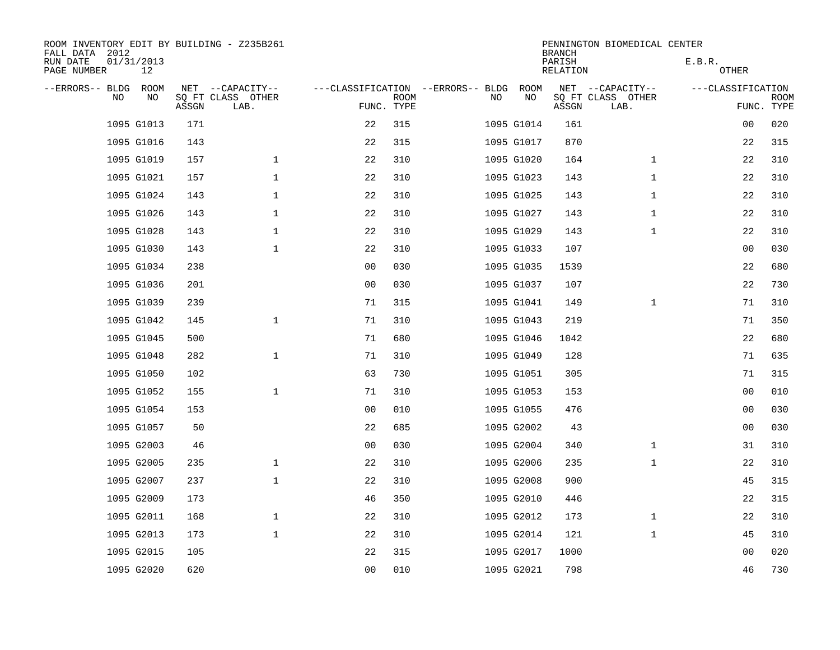| ROOM INVENTORY EDIT BY BUILDING - Z235B261<br>FALL DATA 2012 |                  |       |                           |                                   |             |     |            | <b>BRANCH</b>      | PENNINGTON BIOMEDICAL CENTER |                   |                           |
|--------------------------------------------------------------|------------------|-------|---------------------------|-----------------------------------|-------------|-----|------------|--------------------|------------------------------|-------------------|---------------------------|
| RUN DATE<br>PAGE NUMBER                                      | 01/31/2013<br>12 |       |                           |                                   |             |     |            | PARISH<br>RELATION |                              | E.B.R.<br>OTHER   |                           |
| --ERRORS-- BLDG                                              | ROOM             |       | NET --CAPACITY--          | ---CLASSIFICATION --ERRORS-- BLDG |             |     | ROOM       |                    | NET --CAPACITY--             | ---CLASSIFICATION |                           |
| <b>NO</b>                                                    | NO.              | ASSGN | SO FT CLASS OTHER<br>LAB. | FUNC. TYPE                        | <b>ROOM</b> | NO. | NO         | ASSGN              | SQ FT CLASS OTHER<br>LAB.    |                   | <b>ROOM</b><br>FUNC. TYPE |
|                                                              | 1095 G1013       | 171   |                           | 22                                | 315         |     | 1095 G1014 | 161                |                              | 00                | 020                       |
|                                                              | 1095 G1016       | 143   |                           | 22                                | 315         |     | 1095 G1017 | 870                |                              | 22                | 315                       |
|                                                              | 1095 G1019       | 157   | $\mathbf 1$               | 22                                | 310         |     | 1095 G1020 | 164                | $\mathbf{1}$                 | 22                | 310                       |
|                                                              | 1095 G1021       | 157   | $\mathbf{1}$              | 22                                | 310         |     | 1095 G1023 | 143                | $\mathbf{1}$                 | 22                | 310                       |
|                                                              | 1095 G1024       | 143   | $\mathbf 1$               | 22                                | 310         |     | 1095 G1025 | 143                | $\mathbf{1}$                 | 22                | 310                       |
|                                                              | 1095 G1026       | 143   | $\mathbf 1$               | 22                                | 310         |     | 1095 G1027 | 143                | $\mathbf{1}$                 | 22                | 310                       |
|                                                              | 1095 G1028       | 143   | $\mathbf 1$               | 22                                | 310         |     | 1095 G1029 | 143                | $\mathbf{1}$                 | 22                | 310                       |
|                                                              | 1095 G1030       | 143   | $\mathbf 1$               | 22                                | 310         |     | 1095 G1033 | 107                |                              | 0 <sub>0</sub>    | 030                       |
|                                                              | 1095 G1034       | 238   |                           | 0 <sub>0</sub>                    | 030         |     | 1095 G1035 | 1539               |                              | 22                | 680                       |
|                                                              | 1095 G1036       | 201   |                           | 0 <sub>0</sub>                    | 030         |     | 1095 G1037 | 107                |                              | 22                | 730                       |
|                                                              | 1095 G1039       | 239   |                           | 71                                | 315         |     | 1095 G1041 | 149                | $\mathbf{1}$                 | 71                | 310                       |
|                                                              | 1095 G1042       | 145   | $\mathbf{1}$              | 71                                | 310         |     | 1095 G1043 | 219                |                              | 71                | 350                       |
|                                                              | 1095 G1045       | 500   |                           | 71                                | 680         |     | 1095 G1046 | 1042               |                              | 22                | 680                       |
|                                                              | 1095 G1048       | 282   | $\mathbf{1}$              | 71                                | 310         |     | 1095 G1049 | 128                |                              | 71                | 635                       |
|                                                              | 1095 G1050       | 102   |                           | 63                                | 730         |     | 1095 G1051 | 305                |                              | 71                | 315                       |
|                                                              | 1095 G1052       | 155   | $\mathbf 1$               | 71                                | 310         |     | 1095 G1053 | 153                |                              | 0 <sub>0</sub>    | 010                       |
|                                                              | 1095 G1054       | 153   |                           | 0 <sub>0</sub>                    | 010         |     | 1095 G1055 | 476                |                              | 0 <sub>0</sub>    | 030                       |
|                                                              | 1095 G1057       | 50    |                           | 22                                | 685         |     | 1095 G2002 | 43                 |                              | 00                | 030                       |
|                                                              | 1095 G2003       | 46    |                           | 0 <sub>0</sub>                    | 030         |     | 1095 G2004 | 340                | $\mathbf{1}$                 | 31                | 310                       |
|                                                              | 1095 G2005       | 235   | $\mathbf{1}$              | 22                                | 310         |     | 1095 G2006 | 235                | $\mathbf{1}$                 | 22                | 310                       |
|                                                              | 1095 G2007       | 237   | $\mathbf 1$               | 22                                | 310         |     | 1095 G2008 | 900                |                              | 45                | 315                       |
|                                                              | 1095 G2009       | 173   |                           | 46                                | 350         |     | 1095 G2010 | 446                |                              | 22                | 315                       |
|                                                              | 1095 G2011       | 168   | $\mathbf 1$               | 22                                | 310         |     | 1095 G2012 | 173                | $\mathbf{1}$                 | 22                | 310                       |
|                                                              | 1095 G2013       | 173   | $\mathbf{1}$              | 22                                | 310         |     | 1095 G2014 | 121                | $\mathbf{1}$                 | 45                | 310                       |
|                                                              | 1095 G2015       | 105   |                           | 22                                | 315         |     | 1095 G2017 | 1000               |                              | 00                | 020                       |
|                                                              | 1095 G2020       | 620   |                           | 0 <sub>0</sub>                    | 010         |     | 1095 G2021 | 798                |                              | 46                | 730                       |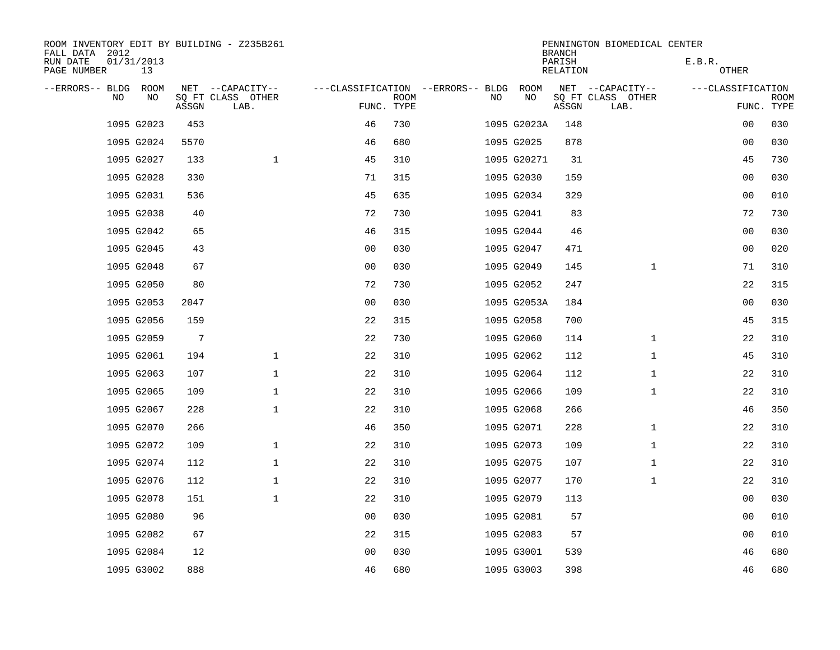| ROOM INVENTORY EDIT BY BUILDING - Z235B261<br>FALL DATA 2012 |                  |                 |                           |                                   |             |    |             | <b>BRANCH</b>      | PENNINGTON BIOMEDICAL CENTER |                   |                |             |
|--------------------------------------------------------------|------------------|-----------------|---------------------------|-----------------------------------|-------------|----|-------------|--------------------|------------------------------|-------------------|----------------|-------------|
| RUN DATE<br>PAGE NUMBER                                      | 01/31/2013<br>13 |                 |                           |                                   |             |    |             | PARISH<br>RELATION |                              | E.B.R.            | OTHER          |             |
| --ERRORS-- BLDG ROOM                                         |                  |                 | NET --CAPACITY--          | ---CLASSIFICATION --ERRORS-- BLDG |             |    | ROOM        |                    | NET --CAPACITY--             | ---CLASSIFICATION |                |             |
| NO                                                           | NO               | ASSGN           | SQ FT CLASS OTHER<br>LAB. | FUNC. TYPE                        | <b>ROOM</b> | NO | NO          | ASSGN              | SQ FT CLASS OTHER<br>LAB.    |                   | FUNC. TYPE     | <b>ROOM</b> |
|                                                              | 1095 G2023       | 453             |                           | 46                                | 730         |    | 1095 G2023A | 148                |                              |                   | 00             | 030         |
|                                                              | 1095 G2024       | 5570            |                           | 46                                | 680         |    | 1095 G2025  | 878                |                              |                   | 00             | 030         |
|                                                              | 1095 G2027       | 133             | $\mathbf 1$               | 45                                | 310         |    | 1095 G20271 | 31                 |                              |                   | 45             | 730         |
|                                                              | 1095 G2028       | 330             |                           | 71                                | 315         |    | 1095 G2030  | 159                |                              |                   | 0 <sub>0</sub> | 030         |
|                                                              | 1095 G2031       | 536             |                           | 45                                | 635         |    | 1095 G2034  | 329                |                              |                   | 0 <sub>0</sub> | 010         |
|                                                              | 1095 G2038       | 40              |                           | 72                                | 730         |    | 1095 G2041  | 83                 |                              |                   | 72             | 730         |
|                                                              | 1095 G2042       | 65              |                           | 46                                | 315         |    | 1095 G2044  | 46                 |                              |                   | 00             | 030         |
|                                                              | 1095 G2045       | 43              |                           | 0 <sub>0</sub>                    | 030         |    | 1095 G2047  | 471                |                              |                   | 0 <sub>0</sub> | 020         |
|                                                              | 1095 G2048       | 67              |                           | 0 <sub>0</sub>                    | 030         |    | 1095 G2049  | 145                | $\mathbf{1}$                 |                   | 71             | 310         |
|                                                              | 1095 G2050       | 80              |                           | 72                                | 730         |    | 1095 G2052  | 247                |                              |                   | 22             | 315         |
|                                                              | 1095 G2053       | 2047            |                           | 0 <sub>0</sub>                    | 030         |    | 1095 G2053A | 184                |                              |                   | 00             | 030         |
|                                                              | 1095 G2056       | 159             |                           | 22                                | 315         |    | 1095 G2058  | 700                |                              |                   | 45             | 315         |
|                                                              | 1095 G2059       | $7\overline{ }$ |                           | 22                                | 730         |    | 1095 G2060  | 114                | $\mathbf{1}$                 |                   | 22             | 310         |
|                                                              | 1095 G2061       | 194             | $\mathbf 1$               | 22                                | 310         |    | 1095 G2062  | 112                | $\mathbf{1}$                 |                   | 45             | 310         |
|                                                              | 1095 G2063       | 107             | $\mathbf 1$               | 22                                | 310         |    | 1095 G2064  | 112                | $\mathbf{1}$                 |                   | 22             | 310         |
|                                                              | 1095 G2065       | 109             | $\mathbf 1$               | 22                                | 310         |    | 1095 G2066  | 109                | $\mathbf{1}$                 |                   | 22             | 310         |
|                                                              | 1095 G2067       | 228             | $\mathbf 1$               | 22                                | 310         |    | 1095 G2068  | 266                |                              |                   | 46             | 350         |
|                                                              | 1095 G2070       | 266             |                           | 46                                | 350         |    | 1095 G2071  | 228                | $\mathbf{1}$                 |                   | 22             | 310         |
|                                                              | 1095 G2072       | 109             | $\mathbf 1$               | 22                                | 310         |    | 1095 G2073  | 109                | $\mathbf{1}$                 |                   | 22             | 310         |
|                                                              | 1095 G2074       | 112             | $\mathbf{1}$              | 22                                | 310         |    | 1095 G2075  | 107                | $\mathbf{1}$                 |                   | 22             | 310         |
|                                                              | 1095 G2076       | 112             | $\mathbf{1}$              | 22                                | 310         |    | 1095 G2077  | 170                | $\mathbf{1}$                 |                   | 22             | 310         |
|                                                              | 1095 G2078       | 151             | $\mathbf 1$               | 22                                | 310         |    | 1095 G2079  | 113                |                              |                   | 00             | 030         |
|                                                              | 1095 G2080       | 96              |                           | 0 <sub>0</sub>                    | 030         |    | 1095 G2081  | 57                 |                              |                   | 00             | 010         |
|                                                              | 1095 G2082       | 67              |                           | 22                                | 315         |    | 1095 G2083  | 57                 |                              |                   | 00             | 010         |
|                                                              | 1095 G2084       | 12              |                           | 0 <sub>0</sub>                    | 030         |    | 1095 G3001  | 539                |                              |                   | 46             | 680         |
|                                                              | 1095 G3002       | 888             |                           | 46                                | 680         |    | 1095 G3003  | 398                |                              |                   | 46             | 680         |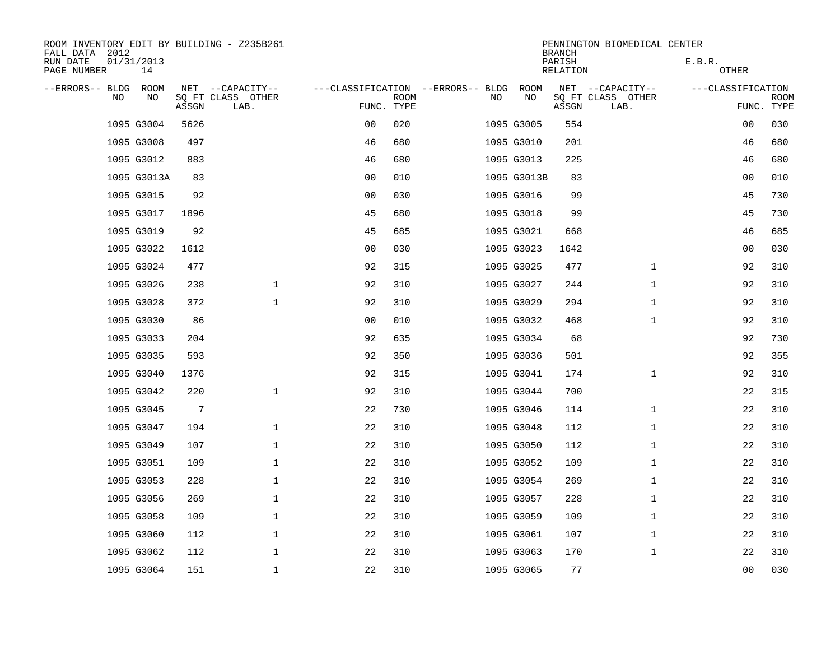| ROOM INVENTORY EDIT BY BUILDING - Z235B261<br>FALL DATA 2012 |                  |                 |                           |                                   |             |    |             | <b>BRANCH</b>      | PENNINGTON BIOMEDICAL CENTER |                   |                           |
|--------------------------------------------------------------|------------------|-----------------|---------------------------|-----------------------------------|-------------|----|-------------|--------------------|------------------------------|-------------------|---------------------------|
| RUN DATE<br>PAGE NUMBER                                      | 01/31/2013<br>14 |                 |                           |                                   |             |    |             | PARISH<br>RELATION |                              | E.B.R.<br>OTHER   |                           |
| --ERRORS-- BLDG ROOM                                         |                  |                 | NET --CAPACITY--          | ---CLASSIFICATION --ERRORS-- BLDG |             |    | ROOM        |                    | NET --CAPACITY--             | ---CLASSIFICATION |                           |
| NO.                                                          | NO               | ASSGN           | SQ FT CLASS OTHER<br>LAB. | FUNC. TYPE                        | <b>ROOM</b> | NO | NO          | ASSGN              | SQ FT CLASS OTHER<br>LAB.    |                   | <b>ROOM</b><br>FUNC. TYPE |
|                                                              | 1095 G3004       | 5626            |                           | 0 <sub>0</sub>                    | 020         |    | 1095 G3005  | 554                |                              | 00                | 030                       |
|                                                              | 1095 G3008       | 497             |                           | 46                                | 680         |    | 1095 G3010  | 201                |                              | 46                | 680                       |
|                                                              | 1095 G3012       | 883             |                           | 46                                | 680         |    | 1095 G3013  | 225                |                              | 46                | 680                       |
|                                                              | 1095 G3013A      | 83              |                           | 0 <sub>0</sub>                    | 010         |    | 1095 G3013B | 83                 |                              | 0 <sub>0</sub>    | 010                       |
|                                                              | 1095 G3015       | 92              |                           | 0 <sub>0</sub>                    | 030         |    | 1095 G3016  | 99                 |                              | 45                | 730                       |
|                                                              | 1095 G3017       | 1896            |                           | 45                                | 680         |    | 1095 G3018  | 99                 |                              | 45                | 730                       |
|                                                              | 1095 G3019       | 92              |                           | 45                                | 685         |    | 1095 G3021  | 668                |                              | 46                | 685                       |
|                                                              | 1095 G3022       | 1612            |                           | 0 <sub>0</sub>                    | 030         |    | 1095 G3023  | 1642               |                              | 0 <sub>0</sub>    | 030                       |
|                                                              | 1095 G3024       | 477             |                           | 92                                | 315         |    | 1095 G3025  | 477                | $\mathbf{1}$                 | 92                | 310                       |
|                                                              | 1095 G3026       | 238             | $\mathbf{1}$              | 92                                | 310         |    | 1095 G3027  | 244                | $\mathbf{1}$                 | 92                | 310                       |
|                                                              | 1095 G3028       | 372             | $\mathbf 1$               | 92                                | 310         |    | 1095 G3029  | 294                | $\mathbf{1}$                 | 92                | 310                       |
|                                                              | 1095 G3030       | 86              |                           | 0 <sub>0</sub>                    | 010         |    | 1095 G3032  | 468                | $\mathbf{1}$                 | 92                | 310                       |
|                                                              | 1095 G3033       | 204             |                           | 92                                | 635         |    | 1095 G3034  | 68                 |                              | 92                | 730                       |
|                                                              | 1095 G3035       | 593             |                           | 92                                | 350         |    | 1095 G3036  | 501                |                              | 92                | 355                       |
|                                                              | 1095 G3040       | 1376            |                           | 92                                | 315         |    | 1095 G3041  | 174                | $\mathbf{1}$                 | 92                | 310                       |
|                                                              | 1095 G3042       | 220             | $\mathbf 1$               | 92                                | 310         |    | 1095 G3044  | 700                |                              | 22                | 315                       |
|                                                              | 1095 G3045       | $7\phantom{.0}$ |                           | 22                                | 730         |    | 1095 G3046  | 114                | $\mathbf{1}$                 | 22                | 310                       |
|                                                              | 1095 G3047       | 194             | $\mathbf 1$               | 22                                | 310         |    | 1095 G3048  | 112                | $\mathbf{1}$                 | 22                | 310                       |
|                                                              | 1095 G3049       | 107             | $\mathbf 1$               | 22                                | 310         |    | 1095 G3050  | 112                | $\mathbf{1}$                 | 22                | 310                       |
|                                                              | 1095 G3051       | 109             | $\mathbf{1}$              | 22                                | 310         |    | 1095 G3052  | 109                | $\mathbf{1}$                 | 22                | 310                       |
|                                                              | 1095 G3053       | 228             | $\mathbf 1$               | 22                                | 310         |    | 1095 G3054  | 269                | $\mathbf{1}$                 | 22                | 310                       |
|                                                              | 1095 G3056       | 269             | $\mathbf 1$               | 22                                | 310         |    | 1095 G3057  | 228                | $\mathbf{1}$                 | 22                | 310                       |
|                                                              | 1095 G3058       | 109             | $\mathbf{1}$              | 22                                | 310         |    | 1095 G3059  | 109                | $\mathbf{1}$                 | 22                | 310                       |
|                                                              | 1095 G3060       | 112             | $\mathbf 1$               | 22                                | 310         |    | 1095 G3061  | 107                | $\mathbf{1}$                 | 22                | 310                       |
|                                                              | 1095 G3062       | 112             | $\mathbf 1$               | 22                                | 310         |    | 1095 G3063  | 170                | $\mathbf{1}$                 | 22                | 310                       |
|                                                              | 1095 G3064       | 151             | $\mathbf 1$               | 22                                | 310         |    | 1095 G3065  | 77                 |                              | 0 <sub>0</sub>    | 030                       |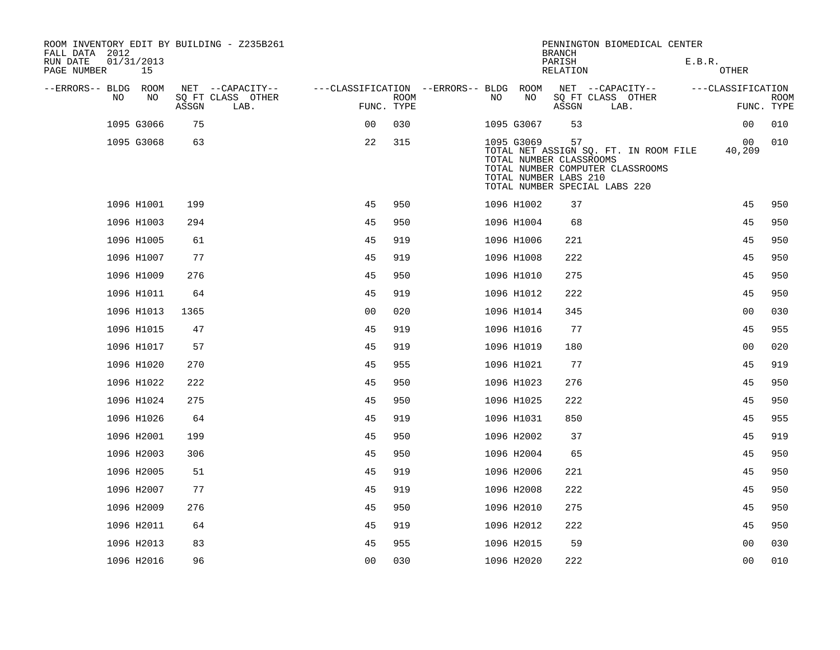| ROOM INVENTORY EDIT BY BUILDING - Z235B261<br>FALL DATA 2012 |    |       |                           |                                        |                           |     |                                                                | <b>BRANCH</b>      | PENNINGTON BIOMEDICAL CENTER                                                                               |        |                   |                           |
|--------------------------------------------------------------|----|-------|---------------------------|----------------------------------------|---------------------------|-----|----------------------------------------------------------------|--------------------|------------------------------------------------------------------------------------------------------------|--------|-------------------|---------------------------|
| RUN DATE<br>01/31/2013<br>PAGE NUMBER                        | 15 |       |                           |                                        |                           |     |                                                                | PARISH<br>RELATION |                                                                                                            | E.B.R. | <b>OTHER</b>      |                           |
| --ERRORS-- BLDG ROOM                                         |    |       | NET --CAPACITY--          | ---CLASSIFICATION --ERRORS-- BLDG ROOM |                           |     |                                                                |                    | NET --CAPACITY--                                                                                           |        | ---CLASSIFICATION |                           |
| NO                                                           | NO | ASSGN | SQ FT CLASS OTHER<br>LAB. |                                        | <b>ROOM</b><br>FUNC. TYPE | NO. | NO                                                             | ASSGN              | SQ FT CLASS OTHER<br>LAB.                                                                                  |        |                   | <b>ROOM</b><br>FUNC. TYPE |
| 1095 G3066                                                   |    | 75    |                           | 0 <sup>0</sup>                         | 030                       |     | 1095 G3067                                                     | 53                 |                                                                                                            |        | 0 <sub>0</sub>    | 010                       |
| 1095 G3068                                                   |    | 63    |                           | 22                                     | 315                       |     | 1095 G3069<br>TOTAL NUMBER CLASSROOMS<br>TOTAL NUMBER LABS 210 | 57                 | TOTAL NET ASSIGN SQ. FT. IN ROOM FILE<br>TOTAL NUMBER COMPUTER CLASSROOMS<br>TOTAL NUMBER SPECIAL LABS 220 |        | 00<br>40,209      | 010                       |
| 1096 H1001                                                   |    | 199   |                           | 45                                     | 950                       |     | 1096 H1002                                                     | 37                 |                                                                                                            |        | 45                | 950                       |
| 1096 H1003                                                   |    | 294   |                           | 45                                     | 950                       |     | 1096 H1004                                                     | 68                 |                                                                                                            |        | 45                | 950                       |
| 1096 H1005                                                   |    | 61    |                           | 45                                     | 919                       |     | 1096 H1006                                                     | 221                |                                                                                                            |        | 45                | 950                       |
| 1096 H1007                                                   |    | 77    |                           | 45                                     | 919                       |     | 1096 H1008                                                     | 222                |                                                                                                            |        | 45                | 950                       |
| 1096 H1009                                                   |    | 276   |                           | 45                                     | 950                       |     | 1096 H1010                                                     | 275                |                                                                                                            |        | 45                | 950                       |
| 1096 H1011                                                   |    | 64    |                           | 45                                     | 919                       |     | 1096 H1012                                                     | 222                |                                                                                                            |        | 45                | 950                       |
| 1096 H1013                                                   |    | 1365  |                           | 0 <sub>0</sub>                         | 020                       |     | 1096 H1014                                                     | 345                |                                                                                                            |        | 0 <sub>0</sub>    | 030                       |
| 1096 H1015                                                   |    | 47    |                           | 45                                     | 919                       |     | 1096 H1016                                                     | 77                 |                                                                                                            |        | 45                | 955                       |
| 1096 H1017                                                   |    | 57    |                           | 45                                     | 919                       |     | 1096 H1019                                                     | 180                |                                                                                                            |        | 0 <sub>0</sub>    | 020                       |
| 1096 H1020                                                   |    | 270   |                           | 45                                     | 955                       |     | 1096 H1021                                                     | 77                 |                                                                                                            |        | 45                | 919                       |
| 1096 H1022                                                   |    | 222   |                           | 45                                     | 950                       |     | 1096 H1023                                                     | 276                |                                                                                                            |        | 45                | 950                       |
| 1096 H1024                                                   |    | 275   |                           | 45                                     | 950                       |     | 1096 H1025                                                     | 222                |                                                                                                            |        | 45                | 950                       |
| 1096 H1026                                                   |    | 64    |                           | 45                                     | 919                       |     | 1096 H1031                                                     | 850                |                                                                                                            |        | 45                | 955                       |
| 1096 H2001                                                   |    | 199   |                           | 45                                     | 950                       |     | 1096 H2002                                                     | 37                 |                                                                                                            |        | 45                | 919                       |
| 1096 H2003                                                   |    | 306   |                           | 45                                     | 950                       |     | 1096 H2004                                                     | 65                 |                                                                                                            |        | 45                | 950                       |
| 1096 H2005                                                   |    | 51    |                           | 45                                     | 919                       |     | 1096 H2006                                                     | 221                |                                                                                                            |        | 45                | 950                       |
| 1096 H2007                                                   |    | 77    |                           | 45                                     | 919                       |     | 1096 H2008                                                     | 222                |                                                                                                            |        | 45                | 950                       |
| 1096 H2009                                                   |    | 276   |                           | 45                                     | 950                       |     | 1096 H2010                                                     | 275                |                                                                                                            |        | 45                | 950                       |
| 1096 H2011                                                   |    | 64    |                           | 45                                     | 919                       |     | 1096 H2012                                                     | 222                |                                                                                                            |        | 45                | 950                       |
| 1096 H2013                                                   |    | 83    |                           | 45                                     | 955                       |     | 1096 H2015                                                     | 59                 |                                                                                                            |        | 0 <sub>0</sub>    | 030                       |
| 1096 H2016                                                   |    | 96    |                           | 0 <sub>0</sub>                         | 030                       |     | 1096 H2020                                                     | 222                |                                                                                                            |        | 0 <sub>0</sub>    | 010                       |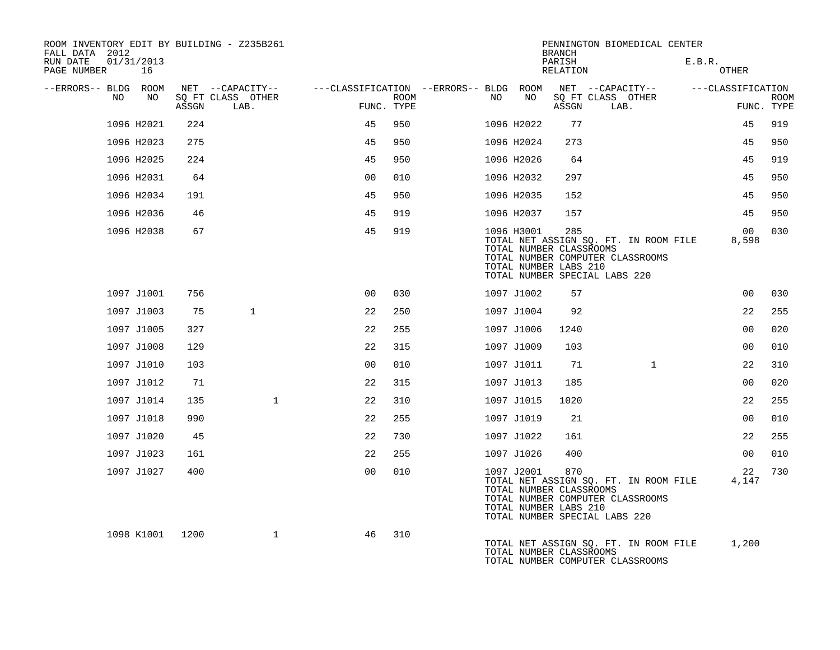| ROOM INVENTORY EDIT BY BUILDING - Z235B261<br>FALL DATA 2012 |            |       |                           |                                        |      |     |                                                                | <b>BRANCH</b>      | PENNINGTON BIOMEDICAL CENTER                                                                               |              |        |                   |                           |
|--------------------------------------------------------------|------------|-------|---------------------------|----------------------------------------|------|-----|----------------------------------------------------------------|--------------------|------------------------------------------------------------------------------------------------------------|--------------|--------|-------------------|---------------------------|
| RUN DATE<br>01/31/2013<br>PAGE NUMBER                        | 16         |       |                           |                                        |      |     |                                                                | PARISH<br>RELATION |                                                                                                            |              | E.B.R. | <b>OTHER</b>      |                           |
| --ERRORS-- BLDG ROOM                                         |            |       | NET --CAPACITY--          | ---CLASSIFICATION --ERRORS-- BLDG ROOM |      |     |                                                                |                    | NET --CAPACITY--                                                                                           |              |        | ---CLASSIFICATION |                           |
| NO.                                                          | NO.        | ASSGN | SO FT CLASS OTHER<br>LAB. | FUNC. TYPE                             | ROOM | NO. | NO                                                             | ASSGN              | SQ FT CLASS OTHER<br>LAB.                                                                                  |              |        |                   | <b>ROOM</b><br>FUNC. TYPE |
|                                                              | 1096 H2021 | 224   |                           | 45                                     | 950  |     | 1096 H2022                                                     | 77                 |                                                                                                            |              |        | 45                | 919                       |
|                                                              | 1096 H2023 | 275   |                           | 45                                     | 950  |     | 1096 H2024                                                     | 273                |                                                                                                            |              |        | 45                | 950                       |
|                                                              | 1096 H2025 | 224   |                           | 45                                     | 950  |     | 1096 H2026                                                     | 64                 |                                                                                                            |              |        | 45                | 919                       |
|                                                              | 1096 H2031 | 64    |                           | 0 <sub>0</sub>                         | 010  |     | 1096 H2032                                                     | 297                |                                                                                                            |              |        | 45                | 950                       |
|                                                              | 1096 H2034 | 191   |                           | 45                                     | 950  |     | 1096 H2035                                                     | 152                |                                                                                                            |              |        | 45                | 950                       |
|                                                              | 1096 H2036 | 46    |                           | 45                                     | 919  |     | 1096 H2037                                                     | 157                |                                                                                                            |              |        | 45                | 950                       |
|                                                              | 1096 H2038 | 67    |                           | 45                                     | 919  |     | 1096 H3001<br>TOTAL NUMBER CLASSROOMS<br>TOTAL NUMBER LABS 210 | 285                | TOTAL NET ASSIGN SQ. FT. IN ROOM FILE<br>TOTAL NUMBER COMPUTER CLASSROOMS<br>TOTAL NUMBER SPECIAL LABS 220 |              |        | 00<br>8,598       | 030                       |
|                                                              | 1097 J1001 | 756   |                           | 0 <sub>0</sub>                         | 030  |     | 1097 J1002                                                     | 57                 |                                                                                                            |              |        | 0 <sub>0</sub>    | 030                       |
|                                                              | 1097 J1003 | 75    | $\mathbf{1}$              | 22                                     | 250  |     | 1097 J1004                                                     | 92                 |                                                                                                            |              |        | 22                | 255                       |
|                                                              | 1097 J1005 | 327   |                           | 22                                     | 255  |     | 1097 J1006                                                     | 1240               |                                                                                                            |              |        | 0 <sub>0</sub>    | 020                       |
|                                                              | 1097 J1008 | 129   |                           | 22                                     | 315  |     | 1097 J1009                                                     | 103                |                                                                                                            |              |        | 00                | 010                       |
|                                                              | 1097 J1010 | 103   |                           | 0 <sub>0</sub>                         | 010  |     | 1097 J1011                                                     | 71                 |                                                                                                            | $\mathbf{1}$ |        | 22                | 310                       |
|                                                              | 1097 J1012 | 71    |                           | 22                                     | 315  |     | 1097 J1013                                                     | 185                |                                                                                                            |              |        | 00                | 020                       |
|                                                              | 1097 J1014 | 135   | $\mathbf{1}$              | 22                                     | 310  |     | 1097 J1015                                                     | 1020               |                                                                                                            |              |        | 22                | 255                       |
|                                                              | 1097 J1018 | 990   |                           | 22                                     | 255  |     | 1097 J1019                                                     | 21                 |                                                                                                            |              |        | 0 <sub>0</sub>    | 010                       |
|                                                              | 1097 J1020 | 45    |                           | 22                                     | 730  |     | 1097 J1022                                                     | 161                |                                                                                                            |              |        | 22                | 255                       |
|                                                              | 1097 J1023 | 161   |                           | 22                                     | 255  |     | 1097 J1026                                                     | 400                |                                                                                                            |              |        | 0 <sub>0</sub>    | 010                       |
|                                                              | 1097 J1027 | 400   |                           | 0 <sub>0</sub>                         | 010  |     | 1097 J2001<br>TOTAL NUMBER CLASSROOMS<br>TOTAL NUMBER LABS 210 | 870                | TOTAL NET ASSIGN SQ. FT. IN ROOM FILE<br>TOTAL NUMBER COMPUTER CLASSROOMS<br>TOTAL NUMBER SPECIAL LABS 220 |              |        | 22<br>4,147       | 730                       |
|                                                              | 1098 K1001 | 1200  | $\mathbf{1}$              | 46                                     | 310  |     | TOTAL NUMBER CLASSROOMS                                        |                    | TOTAL NET ASSIGN SQ. FT. IN ROOM FILE<br>TOTAL NUMBER COMPUTER CLASSROOMS                                  |              |        | 1,200             |                           |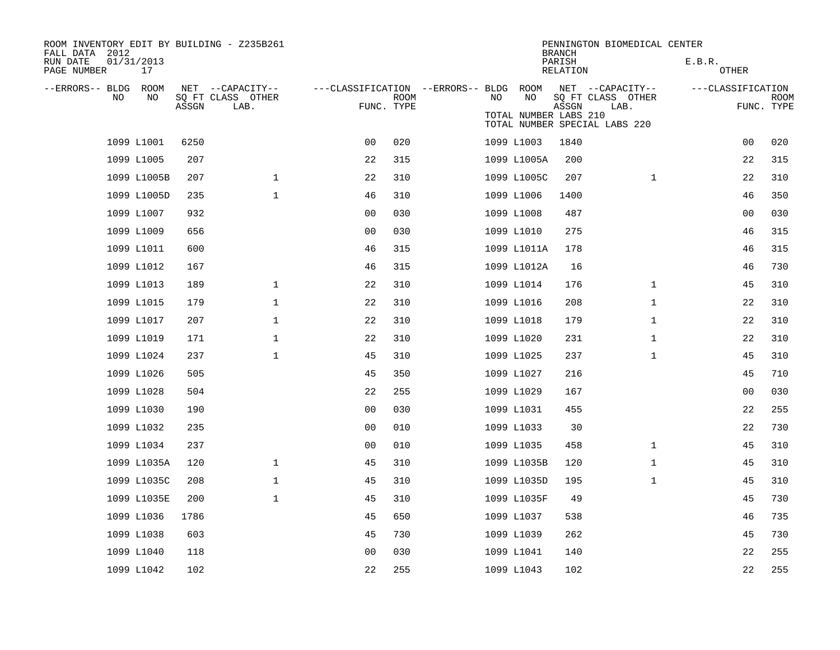| ROOM INVENTORY EDIT BY BUILDING - Z235B261<br>FALL DATA 2012 |                  |       |                                       |                                        |             |    |                       | <b>BRANCH</b>      | PENNINGTON BIOMEDICAL CENTER          |                   |                |             |
|--------------------------------------------------------------|------------------|-------|---------------------------------------|----------------------------------------|-------------|----|-----------------------|--------------------|---------------------------------------|-------------------|----------------|-------------|
| RUN DATE<br>PAGE NUMBER                                      | 01/31/2013<br>17 |       |                                       |                                        |             |    |                       | PARISH<br>RELATION |                                       | E.B.R.<br>OTHER   |                |             |
| --ERRORS-- BLDG ROOM<br>NO.                                  | NO               |       | NET --CAPACITY--<br>SQ FT CLASS OTHER | ---CLASSIFICATION --ERRORS-- BLDG ROOM | <b>ROOM</b> | NO | NO                    |                    | NET --CAPACITY--<br>SQ FT CLASS OTHER | ---CLASSIFICATION |                | <b>ROOM</b> |
|                                                              |                  | ASSGN | LAB.                                  | FUNC. TYPE                             |             |    | TOTAL NUMBER LABS 210 | ASSGN              | LAB.<br>TOTAL NUMBER SPECIAL LABS 220 |                   |                | FUNC. TYPE  |
|                                                              | 1099 L1001       | 6250  |                                       | 0 <sup>0</sup>                         | 020         |    | 1099 L1003            | 1840               |                                       |                   | 0 <sub>0</sub> | 020         |
|                                                              | 1099 L1005       | 207   |                                       | 22                                     | 315         |    | 1099 L1005A           | 200                |                                       |                   | 22             | 315         |
|                                                              | 1099 L1005B      | 207   | $\mathbf 1$                           | 22                                     | 310         |    | 1099 L1005C           | 207                | $\mathbf{1}$                          |                   | 22             | 310         |
|                                                              | 1099 L1005D      | 235   | $\mathbf{1}$                          | 46                                     | 310         |    | 1099 L1006            | 1400               |                                       |                   | 46             | 350         |
|                                                              | 1099 L1007       | 932   |                                       | 0 <sub>0</sub>                         | 030         |    | 1099 L1008            | 487                |                                       |                   | 00             | 030         |
|                                                              | 1099 L1009       | 656   |                                       | 0 <sub>0</sub>                         | 030         |    | 1099 L1010            | 275                |                                       |                   | 46             | 315         |
|                                                              | 1099 L1011       | 600   |                                       | 46                                     | 315         |    | 1099 L1011A           | 178                |                                       |                   | 46             | 315         |
|                                                              | 1099 L1012       | 167   |                                       | 46                                     | 315         |    | 1099 L1012A           | 16                 |                                       |                   | 46             | 730         |
|                                                              | 1099 L1013       | 189   | $\mathbf{1}$                          | 22                                     | 310         |    | 1099 L1014            | 176                | $\mathbf{1}$                          |                   | 45             | 310         |
|                                                              | 1099 L1015       | 179   | $\mathbf 1$                           | 22                                     | 310         |    | 1099 L1016            | 208                | $\mathbf{1}$                          |                   | 22             | 310         |
|                                                              | 1099 L1017       | 207   | 1                                     | 22                                     | 310         |    | 1099 L1018            | 179                | $\mathbf{1}$                          |                   | 22             | 310         |
|                                                              | 1099 L1019       | 171   | $\mathbf{1}$                          | 22                                     | 310         |    | 1099 L1020            | 231                | $\mathbf{1}$                          |                   | 22             | 310         |
|                                                              | 1099 L1024       | 237   | $\mathbf{1}$                          | 45                                     | 310         |    | 1099 L1025            | 237                | $\mathbf{1}$                          |                   | 45             | 310         |
|                                                              | 1099 L1026       | 505   |                                       | 45                                     | 350         |    | 1099 L1027            | 216                |                                       |                   | 45             | 710         |
|                                                              | 1099 L1028       | 504   |                                       | 22                                     | 255         |    | 1099 L1029            | 167                |                                       |                   | 00             | 030         |
|                                                              | 1099 L1030       | 190   |                                       | 0 <sub>0</sub>                         | 030         |    | 1099 L1031            | 455                |                                       |                   | 22             | 255         |
|                                                              | 1099 L1032       | 235   |                                       | 0 <sub>0</sub>                         | 010         |    | 1099 L1033            | 30                 |                                       |                   | 22             | 730         |
|                                                              | 1099 L1034       | 237   |                                       | 0 <sub>0</sub>                         | 010         |    | 1099 L1035            | 458                | $\mathbf{1}$                          |                   | 45             | 310         |
|                                                              | 1099 L1035A      | 120   | $\mathbf 1$                           | 45                                     | 310         |    | 1099 L1035B           | 120                | $\mathbf{1}$                          |                   | 45             | 310         |
|                                                              | 1099 L1035C      | 208   | $\mathbf 1$                           | 45                                     | 310         |    | 1099 L1035D           | 195                | $\mathbf{1}$                          |                   | 45             | 310         |
|                                                              | 1099 L1035E      | 200   | $\mathbf 1$                           | 45                                     | 310         |    | 1099 L1035F           | 49                 |                                       |                   | 45             | 730         |
|                                                              | 1099 L1036       | 1786  |                                       | 45                                     | 650         |    | 1099 L1037            | 538                |                                       |                   | 46             | 735         |
|                                                              | 1099 L1038       | 603   |                                       | 45                                     | 730         |    | 1099 L1039            | 262                |                                       |                   | 45             | 730         |
|                                                              | 1099 L1040       | 118   |                                       | 0 <sub>0</sub>                         | 030         |    | 1099 L1041            | 140                |                                       |                   | 22             | 255         |
|                                                              | 1099 L1042       | 102   |                                       | 22                                     | 255         |    | 1099 L1043            | 102                |                                       |                   | 22             | 255         |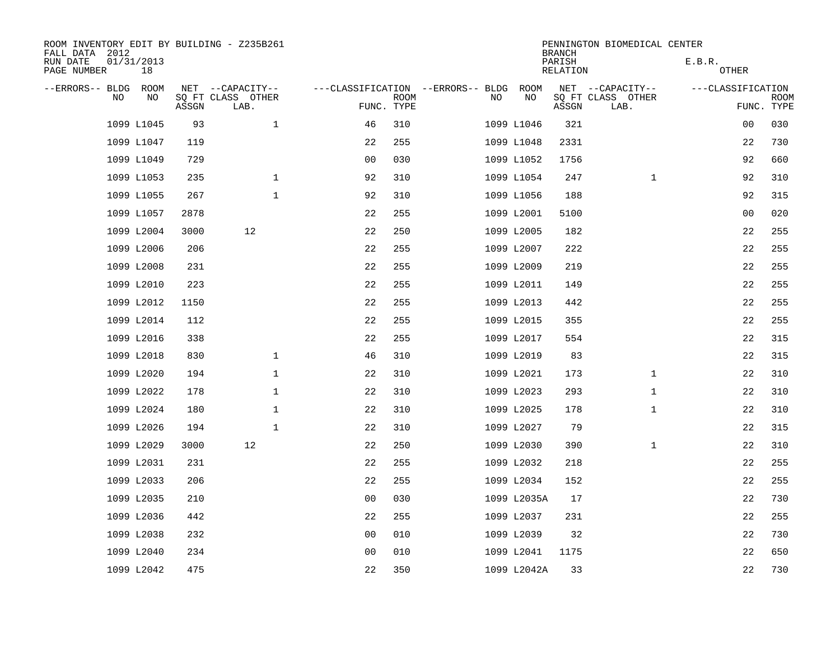| ROOM INVENTORY EDIT BY BUILDING - Z235B261<br>FALL DATA 2012 |                  |       |                           |                                   |             |     |             | <b>BRANCH</b>      | PENNINGTON BIOMEDICAL CENTER |                   |                           |
|--------------------------------------------------------------|------------------|-------|---------------------------|-----------------------------------|-------------|-----|-------------|--------------------|------------------------------|-------------------|---------------------------|
| RUN DATE<br>PAGE NUMBER                                      | 01/31/2013<br>18 |       |                           |                                   |             |     |             | PARISH<br>RELATION |                              | E.B.R.<br>OTHER   |                           |
| --ERRORS-- BLDG                                              | ROOM             |       | NET --CAPACITY--          | ---CLASSIFICATION --ERRORS-- BLDG |             |     | ROOM        |                    | NET --CAPACITY--             | ---CLASSIFICATION |                           |
| N <sub>O</sub>                                               | NO.              | ASSGN | SO FT CLASS OTHER<br>LAB. | FUNC. TYPE                        | <b>ROOM</b> | NO. | NO          | ASSGN              | SQ FT CLASS OTHER<br>LAB.    |                   | <b>ROOM</b><br>FUNC. TYPE |
|                                                              | 1099 L1045       | 93    | $\mathbf{1}$              | 46                                | 310         |     | 1099 L1046  | 321                |                              | 00                | 030                       |
|                                                              | 1099 L1047       | 119   |                           | 22                                | 255         |     | 1099 L1048  | 2331               |                              | 22                | 730                       |
|                                                              | 1099 L1049       | 729   |                           | 0 <sub>0</sub>                    | 030         |     | 1099 L1052  | 1756               |                              | 92                | 660                       |
|                                                              | 1099 L1053       | 235   | $\mathbf{1}$              | 92                                | 310         |     | 1099 L1054  | 247                | $\mathbf{1}$                 | 92                | 310                       |
|                                                              | 1099 L1055       | 267   | $\mathbf{1}$              | 92                                | 310         |     | 1099 L1056  | 188                |                              | 92                | 315                       |
|                                                              | 1099 L1057       | 2878  |                           | 22                                | 255         |     | 1099 L2001  | 5100               |                              | 00                | 020                       |
|                                                              | 1099 L2004       | 3000  | 12                        | 22                                | 250         |     | 1099 L2005  | 182                |                              | 22                | 255                       |
|                                                              | 1099 L2006       | 206   |                           | 22                                | 255         |     | 1099 L2007  | 222                |                              | 22                | 255                       |
|                                                              | 1099 L2008       | 231   |                           | 22                                | 255         |     | 1099 L2009  | 219                |                              | 22                | 255                       |
|                                                              | 1099 L2010       | 223   |                           | 22                                | 255         |     | 1099 L2011  | 149                |                              | 22                | 255                       |
|                                                              | 1099 L2012       | 1150  |                           | 22                                | 255         |     | 1099 L2013  | 442                |                              | 22                | 255                       |
|                                                              | 1099 L2014       | 112   |                           | 22                                | 255         |     | 1099 L2015  | 355                |                              | 22                | 255                       |
|                                                              | 1099 L2016       | 338   |                           | 22                                | 255         |     | 1099 L2017  | 554                |                              | 22                | 315                       |
|                                                              | 1099 L2018       | 830   | $\mathbf{1}$              | 46                                | 310         |     | 1099 L2019  | 83                 |                              | 22                | 315                       |
|                                                              | 1099 L2020       | 194   | 1                         | 22                                | 310         |     | 1099 L2021  | 173                | $\mathbf{1}$                 | 22                | 310                       |
|                                                              | 1099 L2022       | 178   | 1                         | 22                                | 310         |     | 1099 L2023  | 293                | $\mathbf{1}$                 | 22                | 310                       |
|                                                              | 1099 L2024       | 180   | $\mathbf 1$               | 22                                | 310         |     | 1099 L2025  | 178                | $\mathbf{1}$                 | 22                | 310                       |
|                                                              | 1099 L2026       | 194   | $\mathbf{1}$              | 22                                | 310         |     | 1099 L2027  | 79                 |                              | 22                | 315                       |
|                                                              | 1099 L2029       | 3000  | 12                        | 22                                | 250         |     | 1099 L2030  | 390                | $\mathbf{1}$                 | 22                | 310                       |
|                                                              | 1099 L2031       | 231   |                           | 22                                | 255         |     | 1099 L2032  | 218                |                              | 22                | 255                       |
|                                                              | 1099 L2033       | 206   |                           | 22                                | 255         |     | 1099 L2034  | 152                |                              | 22                | 255                       |
|                                                              | 1099 L2035       | 210   |                           | 0 <sub>0</sub>                    | 030         |     | 1099 L2035A | 17                 |                              | 22                | 730                       |
|                                                              | 1099 L2036       | 442   |                           | 22                                | 255         |     | 1099 L2037  | 231                |                              | 22                | 255                       |
|                                                              | 1099 L2038       | 232   |                           | 0 <sub>0</sub>                    | 010         |     | 1099 L2039  | 32                 |                              | 22                | 730                       |
|                                                              | 1099 L2040       | 234   |                           | 0 <sub>0</sub>                    | 010         |     | 1099 L2041  | 1175               |                              | 22                | 650                       |
|                                                              | 1099 L2042       | 475   |                           | 22                                | 350         |     | 1099 L2042A | 33                 |                              | 22                | 730                       |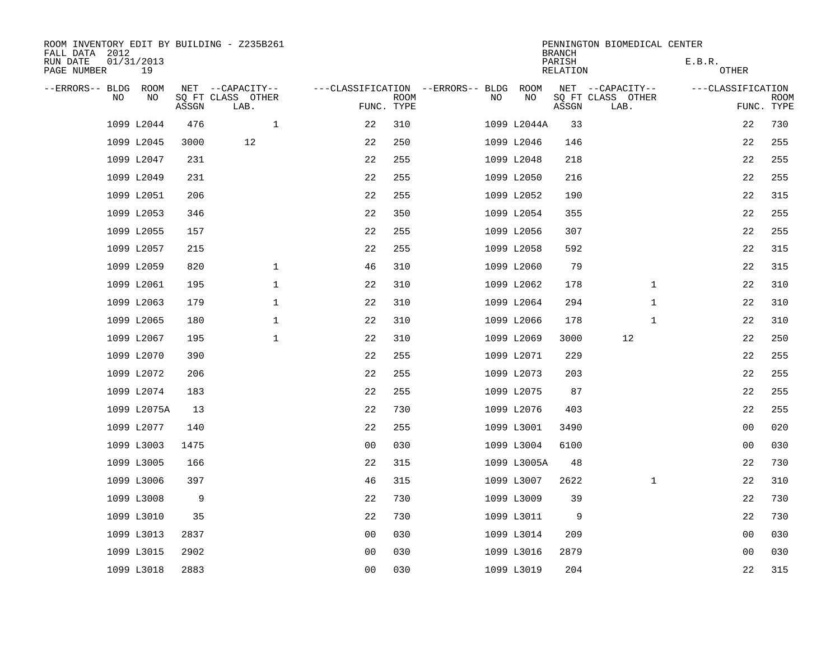| ROOM INVENTORY EDIT BY BUILDING - Z235B261<br>FALL DATA 2012 |       |                           |                                        |             |    |             | <b>BRANCH</b>             | PENNINGTON BIOMEDICAL CENTER |                        |                           |
|--------------------------------------------------------------|-------|---------------------------|----------------------------------------|-------------|----|-------------|---------------------------|------------------------------|------------------------|---------------------------|
| RUN DATE<br>01/31/2013<br>PAGE NUMBER<br>19                  |       |                           |                                        |             |    |             | PARISH<br><b>RELATION</b> |                              | E.B.R.<br><b>OTHER</b> |                           |
| --ERRORS-- BLDG<br>ROOM                                      |       | NET --CAPACITY--          | ---CLASSIFICATION --ERRORS-- BLDG ROOM |             |    |             |                           | NET --CAPACITY--             | ---CLASSIFICATION      |                           |
| NO<br>NO.                                                    | ASSGN | SQ FT CLASS OTHER<br>LAB. | FUNC. TYPE                             | <b>ROOM</b> | NO | NO          | ASSGN                     | SQ FT CLASS OTHER<br>LAB.    |                        | <b>ROOM</b><br>FUNC. TYPE |
| 1099 L2044                                                   | 476   | $\mathbf 1$               | 22                                     | 310         |    | 1099 L2044A | 33                        |                              | 22                     | 730                       |
| 1099 L2045                                                   | 3000  | 12                        | 22                                     | 250         |    | 1099 L2046  | 146                       |                              | 22                     | 255                       |
| 1099 L2047                                                   | 231   |                           | 22                                     | 255         |    | 1099 L2048  | 218                       |                              | 22                     | 255                       |
| 1099 L2049                                                   | 231   |                           | 22                                     | 255         |    | 1099 L2050  | 216                       |                              | 22                     | 255                       |
| 1099 L2051                                                   | 206   |                           | 22                                     | 255         |    | 1099 L2052  | 190                       |                              | 22                     | 315                       |
| 1099 L2053                                                   | 346   |                           | 22                                     | 350         |    | 1099 L2054  | 355                       |                              | 22                     | 255                       |
| 1099 L2055                                                   | 157   |                           | 22                                     | 255         |    | 1099 L2056  | 307                       |                              | 22                     | 255                       |
| 1099 L2057                                                   | 215   |                           | 22                                     | 255         |    | 1099 L2058  | 592                       |                              | 22                     | 315                       |
| 1099 L2059                                                   | 820   | $\mathbf 1$               | 46                                     | 310         |    | 1099 L2060  | 79                        |                              | 22                     | 315                       |
| 1099 L2061                                                   | 195   | $\mathbf 1$               | 22                                     | 310         |    | 1099 L2062  | 178                       | $\mathbf{1}$                 | 22                     | 310                       |
| 1099 L2063                                                   | 179   | $\mathbf 1$               | 22                                     | 310         |    | 1099 L2064  | 294                       | $\mathbf{1}$                 | 22                     | 310                       |
| 1099 L2065                                                   | 180   | $\mathbf{1}$              | 22                                     | 310         |    | 1099 L2066  | 178                       | $\mathbf{1}$                 | 22                     | 310                       |
| 1099 L2067                                                   | 195   | $\mathbf 1$               | 22                                     | 310         |    | 1099 L2069  | 3000                      | 12                           | 22                     | 250                       |
| 1099 L2070                                                   | 390   |                           | 22                                     | 255         |    | 1099 L2071  | 229                       |                              | 22                     | 255                       |
| 1099 L2072                                                   | 206   |                           | 22                                     | 255         |    | 1099 L2073  | 203                       |                              | 22                     | 255                       |
| 1099 L2074                                                   | 183   |                           | 22                                     | 255         |    | 1099 L2075  | 87                        |                              | 22                     | 255                       |
| 1099 L2075A                                                  | 13    |                           | 22                                     | 730         |    | 1099 L2076  | 403                       |                              | 22                     | 255                       |
| 1099 L2077                                                   | 140   |                           | 22                                     | 255         |    | 1099 L3001  | 3490                      |                              | 0 <sub>0</sub>         | 020                       |
| 1099 L3003                                                   | 1475  |                           | 0 <sub>0</sub>                         | 030         |    | 1099 L3004  | 6100                      |                              | 0 <sub>0</sub>         | 030                       |
| 1099 L3005                                                   | 166   |                           | 22                                     | 315         |    | 1099 L3005A | 48                        |                              | 22                     | 730                       |
| 1099 L3006                                                   | 397   |                           | 46                                     | 315         |    | 1099 L3007  | 2622                      | $\mathbf{1}$                 | 22                     | 310                       |
| 1099 L3008                                                   | 9     |                           | 22                                     | 730         |    | 1099 L3009  | 39                        |                              | 22                     | 730                       |
| 1099 L3010                                                   | 35    |                           | 22                                     | 730         |    | 1099 L3011  | 9                         |                              | 22                     | 730                       |
| 1099 L3013                                                   | 2837  |                           | 0 <sub>0</sub>                         | 030         |    | 1099 L3014  | 209                       |                              | 00                     | 030                       |
| 1099 L3015                                                   | 2902  |                           | 0 <sub>0</sub>                         | 030         |    | 1099 L3016  | 2879                      |                              | 00                     | 030                       |
| 1099 L3018                                                   | 2883  |                           | 0 <sub>0</sub>                         | 030         |    | 1099 L3019  | 204                       |                              | 22                     | 315                       |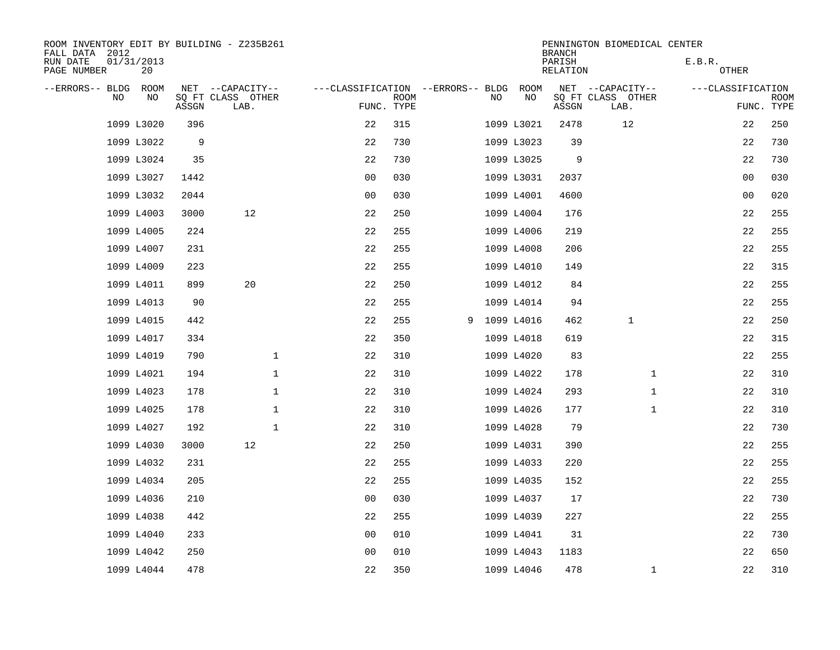| ROOM INVENTORY EDIT BY BUILDING - Z235B261<br>FALL DATA 2012 |       |                           |                |             |                                        |            | <b>BRANCH</b>      | PENNINGTON BIOMEDICAL CENTER |                   |                           |
|--------------------------------------------------------------|-------|---------------------------|----------------|-------------|----------------------------------------|------------|--------------------|------------------------------|-------------------|---------------------------|
| RUN DATE<br>01/31/2013<br>PAGE NUMBER<br>20                  |       |                           |                |             |                                        |            | PARISH<br>RELATION |                              | E.B.R.<br>OTHER   |                           |
| --ERRORS-- BLDG ROOM                                         |       | NET --CAPACITY--          |                |             | ---CLASSIFICATION --ERRORS-- BLDG ROOM |            |                    | NET --CAPACITY--             | ---CLASSIFICATION |                           |
| NO<br>NO                                                     | ASSGN | SQ FT CLASS OTHER<br>LAB. | FUNC. TYPE     | <b>ROOM</b> | NO                                     | NO         | ASSGN              | SQ FT CLASS OTHER<br>LAB.    |                   | <b>ROOM</b><br>FUNC. TYPE |
| 1099 L3020                                                   | 396   |                           | 22             | 315         |                                        | 1099 L3021 | 2478               | 12                           | 22                | 250                       |
| 1099 L3022                                                   | 9     |                           | 22             | 730         |                                        | 1099 L3023 | 39                 |                              | 22                | 730                       |
| 1099 L3024                                                   | 35    |                           | 22             | 730         |                                        | 1099 L3025 | 9                  |                              | 22                | 730                       |
| 1099 L3027                                                   | 1442  |                           | 0 <sub>0</sub> | 030         |                                        | 1099 L3031 | 2037               |                              | 0 <sub>0</sub>    | 030                       |
| 1099 L3032                                                   | 2044  |                           | 0 <sub>0</sub> | 030         |                                        | 1099 L4001 | 4600               |                              | 00                | 020                       |
| 1099 L4003                                                   | 3000  | 12                        | 22             | 250         |                                        | 1099 L4004 | 176                |                              | 22                | 255                       |
| 1099 L4005                                                   | 224   |                           | 22             | 255         |                                        | 1099 L4006 | 219                |                              | 22                | 255                       |
| 1099 L4007                                                   | 231   |                           | 22             | 255         |                                        | 1099 L4008 | 206                |                              | 22                | 255                       |
| 1099 L4009                                                   | 223   |                           | 22             | 255         |                                        | 1099 L4010 | 149                |                              | 22                | 315                       |
| 1099 L4011                                                   | 899   | 20                        | 22             | 250         |                                        | 1099 L4012 | 84                 |                              | 22                | 255                       |
| 1099 L4013                                                   | 90    |                           | 22             | 255         |                                        | 1099 L4014 | 94                 |                              | 22                | 255                       |
| 1099 L4015                                                   | 442   |                           | 22             | 255         | 9 1099 L4016                           |            | 462                | $\mathbf{1}$                 | 22                | 250                       |
| 1099 L4017                                                   | 334   |                           | 22             | 350         |                                        | 1099 L4018 | 619                |                              | 22                | 315                       |
| 1099 L4019                                                   | 790   | $\mathbf 1$               | 22             | 310         |                                        | 1099 L4020 | 83                 |                              | 22                | 255                       |
| 1099 L4021                                                   | 194   | $\mathbf{1}$              | 22             | 310         |                                        | 1099 L4022 | 178                | $\mathbf{1}$                 | 22                | 310                       |
| 1099 L4023                                                   | 178   | $\mathbf 1$               | 22             | 310         |                                        | 1099 L4024 | 293                | $\mathbf{1}$                 | 22                | 310                       |
| 1099 L4025                                                   | 178   | $\mathbf{1}$              | 22             | 310         |                                        | 1099 L4026 | 177                | $\mathbf{1}$                 | 22                | 310                       |
| 1099 L4027                                                   | 192   | $\mathbf{1}$              | 22             | 310         |                                        | 1099 L4028 | 79                 |                              | 22                | 730                       |
| 1099 L4030                                                   | 3000  | 12                        | 22             | 250         |                                        | 1099 L4031 | 390                |                              | 22                | 255                       |
| 1099 L4032                                                   | 231   |                           | 22             | 255         |                                        | 1099 L4033 | 220                |                              | 22                | 255                       |
| 1099 L4034                                                   | 205   |                           | 22             | 255         |                                        | 1099 L4035 | 152                |                              | 22                | 255                       |
| 1099 L4036                                                   | 210   |                           | 0 <sub>0</sub> | 030         |                                        | 1099 L4037 | 17                 |                              | 22                | 730                       |
| 1099 L4038                                                   | 442   |                           | 22             | 255         |                                        | 1099 L4039 | 227                |                              | 22                | 255                       |
| 1099 L4040                                                   | 233   |                           | 0 <sub>0</sub> | 010         |                                        | 1099 L4041 | 31                 |                              | 22                | 730                       |
| 1099 L4042                                                   | 250   |                           | 0 <sub>0</sub> | 010         |                                        | 1099 L4043 | 1183               |                              | 22                | 650                       |
| 1099 L4044                                                   | 478   |                           | 22             | 350         |                                        | 1099 L4046 | 478                | $\mathbf{1}$                 | 22                | 310                       |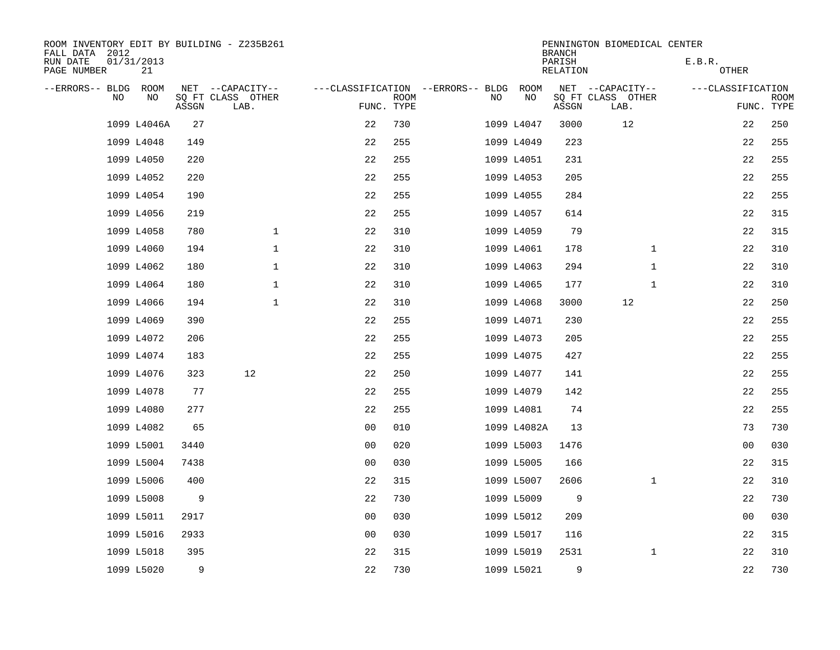| ROOM INVENTORY EDIT BY BUILDING - Z235B261<br>FALL DATA 2012 |                  |       |                           |                                        |             |    |             | <b>BRANCH</b>      | PENNINGTON BIOMEDICAL CENTER |                   |                           |
|--------------------------------------------------------------|------------------|-------|---------------------------|----------------------------------------|-------------|----|-------------|--------------------|------------------------------|-------------------|---------------------------|
| RUN DATE<br>PAGE NUMBER                                      | 01/31/2013<br>21 |       |                           |                                        |             |    |             | PARISH<br>RELATION |                              | E.B.R.<br>OTHER   |                           |
| --ERRORS-- BLDG ROOM                                         |                  |       | NET --CAPACITY--          | ---CLASSIFICATION --ERRORS-- BLDG ROOM |             |    |             |                    | NET --CAPACITY--             | ---CLASSIFICATION |                           |
| NO.                                                          | NO               | ASSGN | SQ FT CLASS OTHER<br>LAB. | FUNC. TYPE                             | <b>ROOM</b> | NO | NO          | ASSGN              | SQ FT CLASS OTHER<br>LAB.    |                   | <b>ROOM</b><br>FUNC. TYPE |
|                                                              | 1099 L4046A      | 27    |                           | 22                                     | 730         |    | 1099 L4047  | 3000               | 12                           | 22                | 250                       |
|                                                              | 1099 L4048       | 149   |                           | 22                                     | 255         |    | 1099 L4049  | 223                |                              | 22                | 255                       |
|                                                              | 1099 L4050       | 220   |                           | 22                                     | 255         |    | 1099 L4051  | 231                |                              | 22                | 255                       |
|                                                              | 1099 L4052       | 220   |                           | 22                                     | 255         |    | 1099 L4053  | 205                |                              | 22                | 255                       |
|                                                              | 1099 L4054       | 190   |                           | 22                                     | 255         |    | 1099 L4055  | 284                |                              | 22                | 255                       |
|                                                              | 1099 L4056       | 219   |                           | 22                                     | 255         |    | 1099 L4057  | 614                |                              | 22                | 315                       |
|                                                              | 1099 L4058       | 780   | $\mathbf 1$               | 22                                     | 310         |    | 1099 L4059  | 79                 |                              | 22                | 315                       |
|                                                              | 1099 L4060       | 194   | $\mathbf 1$               | 22                                     | 310         |    | 1099 L4061  | 178                | $\mathbf{1}$                 | 22                | 310                       |
|                                                              | 1099 L4062       | 180   | $\mathbf{1}$              | 22                                     | 310         |    | 1099 L4063  | 294                | $\mathbf{1}$                 | 22                | 310                       |
|                                                              | 1099 L4064       | 180   | $\mathbf 1$               | 22                                     | 310         |    | 1099 L4065  | 177                | $\mathbf{1}$                 | 22                | 310                       |
|                                                              | 1099 L4066       | 194   | $\mathbf 1$               | 22                                     | 310         |    | 1099 L4068  | 3000               | 12                           | 22                | 250                       |
|                                                              | 1099 L4069       | 390   |                           | 22                                     | 255         |    | 1099 L4071  | 230                |                              | 22                | 255                       |
|                                                              | 1099 L4072       | 206   |                           | 22                                     | 255         |    | 1099 L4073  | 205                |                              | 22                | 255                       |
|                                                              | 1099 L4074       | 183   |                           | 22                                     | 255         |    | 1099 L4075  | 427                |                              | 22                | 255                       |
|                                                              | 1099 L4076       | 323   | 12                        | 22                                     | 250         |    | 1099 L4077  | 141                |                              | 22                | 255                       |
|                                                              | 1099 L4078       | 77    |                           | 22                                     | 255         |    | 1099 L4079  | 142                |                              | 22                | 255                       |
|                                                              | 1099 L4080       | 277   |                           | 22                                     | 255         |    | 1099 L4081  | 74                 |                              | 22                | 255                       |
|                                                              | 1099 L4082       | 65    |                           | 0 <sub>0</sub>                         | 010         |    | 1099 L4082A | 13                 |                              | 73                | 730                       |
|                                                              | 1099 L5001       | 3440  |                           | 0 <sub>0</sub>                         | 020         |    | 1099 L5003  | 1476               |                              | 0 <sub>0</sub>    | 030                       |
|                                                              | 1099 L5004       | 7438  |                           | 0 <sub>0</sub>                         | 030         |    | 1099 L5005  | 166                |                              | 22                | 315                       |
|                                                              | 1099 L5006       | 400   |                           | 22                                     | 315         |    | 1099 L5007  | 2606               | $\mathbf{1}$                 | 22                | 310                       |
|                                                              | 1099 L5008       | 9     |                           | 22                                     | 730         |    | 1099 L5009  | 9                  |                              | 22                | 730                       |
|                                                              | 1099 L5011       | 2917  |                           | 0 <sub>0</sub>                         | 030         |    | 1099 L5012  | 209                |                              | 0 <sub>0</sub>    | 030                       |
|                                                              | 1099 L5016       | 2933  |                           | 0 <sub>0</sub>                         | 030         |    | 1099 L5017  | 116                |                              | 22                | 315                       |
|                                                              | 1099 L5018       | 395   |                           | 22                                     | 315         |    | 1099 L5019  | 2531               | $\mathbf{1}$                 | 22                | 310                       |
|                                                              | 1099 L5020       | 9     |                           | 22                                     | 730         |    | 1099 L5021  | 9                  |                              | 22                | 730                       |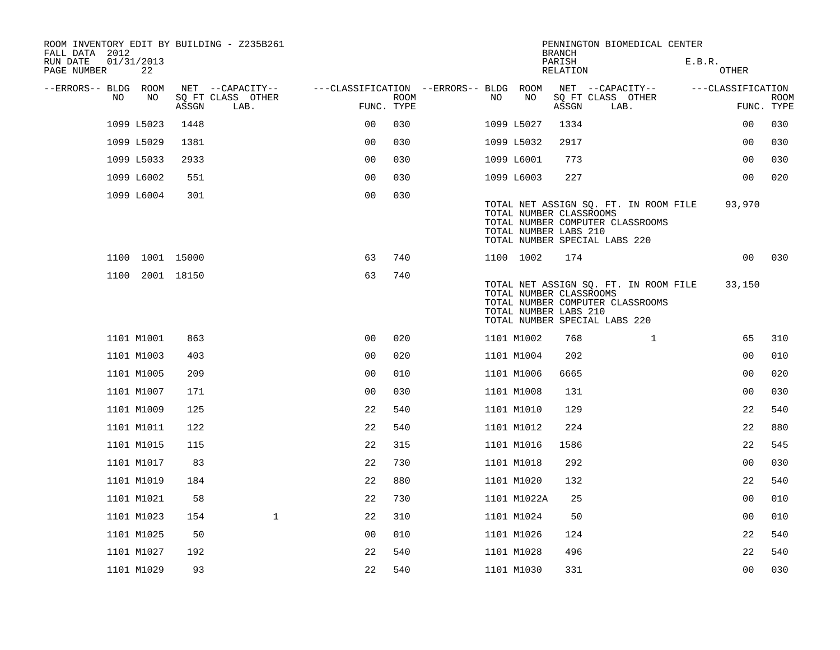| ROOM INVENTORY EDIT BY BUILDING - Z235B261<br>FALL DATA 2012 |                  |       |                           |                                        |             |     |                                                  | <b>BRANCH</b>      | PENNINGTON BIOMEDICAL CENTER                                                                               |        |                   |                           |
|--------------------------------------------------------------|------------------|-------|---------------------------|----------------------------------------|-------------|-----|--------------------------------------------------|--------------------|------------------------------------------------------------------------------------------------------------|--------|-------------------|---------------------------|
| RUN DATE<br>PAGE NUMBER                                      | 01/31/2013<br>22 |       |                           |                                        |             |     |                                                  | PARISH<br>RELATION |                                                                                                            | E.B.R. | OTHER             |                           |
| --ERRORS-- BLDG ROOM                                         |                  |       | NET --CAPACITY--          | ---CLASSIFICATION --ERRORS-- BLDG ROOM |             |     |                                                  |                    | NET --CAPACITY--                                                                                           |        | ---CLASSIFICATION |                           |
| NO                                                           | NO               | ASSGN | SQ FT CLASS OTHER<br>LAB. | FUNC. TYPE                             | <b>ROOM</b> | NO. | NO                                               | ASSGN              | SQ FT CLASS OTHER<br>LAB.                                                                                  |        |                   | <b>ROOM</b><br>FUNC. TYPE |
|                                                              | 1099 L5023       | 1448  |                           | 0 <sub>0</sub>                         | 030         |     | 1099 L5027                                       | 1334               |                                                                                                            |        | 00                | 030                       |
|                                                              | 1099 L5029       | 1381  |                           | 0 <sup>0</sup>                         | 030         |     | 1099 L5032                                       | 2917               |                                                                                                            |        | 0 <sub>0</sub>    | 030                       |
|                                                              | 1099 L5033       | 2933  |                           | 0 <sub>0</sub>                         | 030         |     | 1099 L6001                                       | 773                |                                                                                                            |        | 0 <sub>0</sub>    | 030                       |
|                                                              | 1099 L6002       | 551   |                           | 0 <sub>0</sub>                         | 030         |     | 1099 L6003                                       | 227                |                                                                                                            |        | 0 <sub>0</sub>    | 020                       |
|                                                              | 1099 L6004       | 301   |                           | 0 <sub>0</sub>                         | 030         |     | TOTAL NUMBER CLASSROOMS<br>TOTAL NUMBER LABS 210 |                    | TOTAL NET ASSIGN SO. FT. IN ROOM FILE<br>TOTAL NUMBER COMPUTER CLASSROOMS<br>TOTAL NUMBER SPECIAL LABS 220 |        | 93,970            |                           |
|                                                              | 1100 1001 15000  |       |                           | 63                                     | 740         |     | 1100 1002                                        | 174                |                                                                                                            |        | 00                | 030                       |
|                                                              | 1100 2001 18150  |       |                           | 63                                     | 740         |     | TOTAL NUMBER CLASSROOMS<br>TOTAL NUMBER LABS 210 |                    | TOTAL NET ASSIGN SQ. FT. IN ROOM FILE<br>TOTAL NUMBER COMPUTER CLASSROOMS<br>TOTAL NUMBER SPECIAL LABS 220 |        | 33,150            |                           |
|                                                              | 1101 M1001       | 863   |                           | 0 <sub>0</sub>                         | 020         |     | 1101 M1002                                       | 768                | $\mathbf{1}$                                                                                               |        | 65                | 310                       |
|                                                              | 1101 M1003       | 403   |                           | 0 <sub>0</sub>                         | 020         |     | 1101 M1004                                       | 202                |                                                                                                            |        | 00                | 010                       |
|                                                              | 1101 M1005       | 209   |                           | 0 <sub>0</sub>                         | 010         |     | 1101 M1006                                       | 6665               |                                                                                                            |        | 0 <sub>0</sub>    | 020                       |
|                                                              | 1101 M1007       | 171   |                           | 0 <sub>0</sub>                         | 030         |     | 1101 M1008                                       | 131                |                                                                                                            |        | 0 <sub>0</sub>    | 030                       |
|                                                              | 1101 M1009       | 125   |                           | 22                                     | 540         |     | 1101 M1010                                       | 129                |                                                                                                            |        | 22                | 540                       |
|                                                              | 1101 M1011       | 122   |                           | 22                                     | 540         |     | 1101 M1012                                       | 224                |                                                                                                            |        | 22                | 880                       |
|                                                              | 1101 M1015       | 115   |                           | 22                                     | 315         |     | 1101 M1016                                       | 1586               |                                                                                                            |        | 22                | 545                       |
|                                                              | 1101 M1017       | 83    |                           | 22                                     | 730         |     | 1101 M1018                                       | 292                |                                                                                                            |        | 0 <sub>0</sub>    | 030                       |
|                                                              | 1101 M1019       | 184   |                           | 22                                     | 880         |     | 1101 M1020                                       | 132                |                                                                                                            |        | 22                | 540                       |
|                                                              | 1101 M1021       | 58    |                           | 22                                     | 730         |     | 1101 M1022A                                      | 25                 |                                                                                                            |        | 0 <sub>0</sub>    | 010                       |
|                                                              | 1101 M1023       | 154   | $\mathbf{1}$              | 22                                     | 310         |     | 1101 M1024                                       | 50                 |                                                                                                            |        | 00                | 010                       |
|                                                              | 1101 M1025       | 50    |                           | 0 <sub>0</sub>                         | 010         |     | 1101 M1026                                       | 124                |                                                                                                            |        | 22                | 540                       |
|                                                              | 1101 M1027       | 192   |                           | 22                                     | 540         |     | 1101 M1028                                       | 496                |                                                                                                            |        | 22                | 540                       |
|                                                              | 1101 M1029       | 93    |                           | 22                                     | 540         |     | 1101 M1030                                       | 331                |                                                                                                            |        | 0 <sub>0</sub>    | 030                       |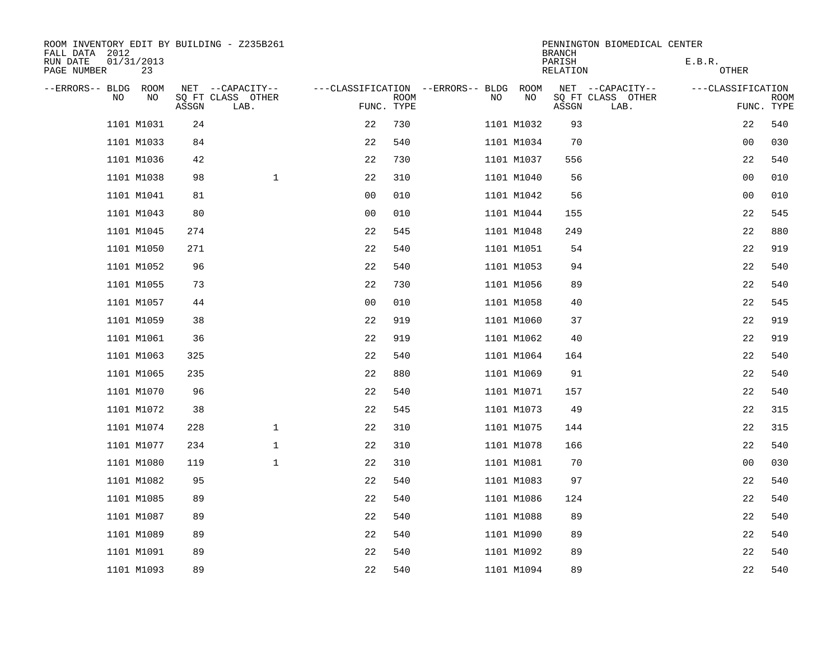| ROOM INVENTORY EDIT BY BUILDING - Z235B261<br>FALL DATA 2012 |                  |       |                           |                                   |             |     |            | <b>BRANCH</b>      | PENNINGTON BIOMEDICAL CENTER |                   |                           |
|--------------------------------------------------------------|------------------|-------|---------------------------|-----------------------------------|-------------|-----|------------|--------------------|------------------------------|-------------------|---------------------------|
| RUN DATE<br>PAGE NUMBER                                      | 01/31/2013<br>23 |       |                           |                                   |             |     |            | PARISH<br>RELATION |                              | E.B.R.<br>OTHER   |                           |
| --ERRORS-- BLDG                                              | ROOM             |       | NET --CAPACITY--          | ---CLASSIFICATION --ERRORS-- BLDG |             |     | ROOM       |                    | NET --CAPACITY--             | ---CLASSIFICATION |                           |
| N <sub>O</sub>                                               | NO.              | ASSGN | SO FT CLASS OTHER<br>LAB. | FUNC. TYPE                        | <b>ROOM</b> | NO. | NO         | ASSGN              | SQ FT CLASS OTHER<br>LAB.    |                   | <b>ROOM</b><br>FUNC. TYPE |
|                                                              | 1101 M1031       | 24    |                           | 22                                | 730         |     | 1101 M1032 | 93                 |                              | 22                | 540                       |
|                                                              | 1101 M1033       | 84    |                           | 22                                | 540         |     | 1101 M1034 | 70                 |                              | 0 <sub>0</sub>    | 030                       |
|                                                              | 1101 M1036       | 42    |                           | 22                                | 730         |     | 1101 M1037 | 556                |                              | 22                | 540                       |
|                                                              | 1101 M1038       | 98    | $\mathbf{1}$              | 22                                | 310         |     | 1101 M1040 | 56                 |                              | 0 <sub>0</sub>    | 010                       |
|                                                              | 1101 M1041       | 81    |                           | 0 <sub>0</sub>                    | 010         |     | 1101 M1042 | 56                 |                              | 00                | 010                       |
|                                                              | 1101 M1043       | 80    |                           | 0 <sub>0</sub>                    | 010         |     | 1101 M1044 | 155                |                              | 22                | 545                       |
|                                                              | 1101 M1045       | 274   |                           | 22                                | 545         |     | 1101 M1048 | 249                |                              | 22                | 880                       |
|                                                              | 1101 M1050       | 271   |                           | 22                                | 540         |     | 1101 M1051 | 54                 |                              | 22                | 919                       |
|                                                              | 1101 M1052       | 96    |                           | 22                                | 540         |     | 1101 M1053 | 94                 |                              | 22                | 540                       |
|                                                              | 1101 M1055       | 73    |                           | 22                                | 730         |     | 1101 M1056 | 89                 |                              | 22                | 540                       |
|                                                              | 1101 M1057       | 44    |                           | 0 <sub>0</sub>                    | 010         |     | 1101 M1058 | 40                 |                              | 22                | 545                       |
|                                                              | 1101 M1059       | 38    |                           | 22                                | 919         |     | 1101 M1060 | 37                 |                              | 22                | 919                       |
|                                                              | 1101 M1061       | 36    |                           | 22                                | 919         |     | 1101 M1062 | 40                 |                              | 22                | 919                       |
|                                                              | 1101 M1063       | 325   |                           | 22                                | 540         |     | 1101 M1064 | 164                |                              | 22                | 540                       |
|                                                              | 1101 M1065       | 235   |                           | 22                                | 880         |     | 1101 M1069 | 91                 |                              | 22                | 540                       |
|                                                              | 1101 M1070       | 96    |                           | 22                                | 540         |     | 1101 M1071 | 157                |                              | 22                | 540                       |
|                                                              | 1101 M1072       | 38    |                           | 22                                | 545         |     | 1101 M1073 | 49                 |                              | 22                | 315                       |
|                                                              | 1101 M1074       | 228   | $\mathbf{1}$              | 22                                | 310         |     | 1101 M1075 | 144                |                              | 22                | 315                       |
|                                                              | 1101 M1077       | 234   | $\mathbf{1}$              | 22                                | 310         |     | 1101 M1078 | 166                |                              | 22                | 540                       |
|                                                              | 1101 M1080       | 119   | $\mathbf 1$               | 22                                | 310         |     | 1101 M1081 | 70                 |                              | 00                | 030                       |
|                                                              | 1101 M1082       | 95    |                           | 22                                | 540         |     | 1101 M1083 | 97                 |                              | 22                | 540                       |
|                                                              | 1101 M1085       | 89    |                           | 22                                | 540         |     | 1101 M1086 | 124                |                              | 22                | 540                       |
|                                                              | 1101 M1087       | 89    |                           | 22                                | 540         |     | 1101 M1088 | 89                 |                              | 22                | 540                       |
|                                                              | 1101 M1089       | 89    |                           | 22                                | 540         |     | 1101 M1090 | 89                 |                              | 22                | 540                       |
|                                                              | 1101 M1091       | 89    |                           | 22                                | 540         |     | 1101 M1092 | 89                 |                              | 22                | 540                       |
|                                                              | 1101 M1093       | 89    |                           | 22                                | 540         |     | 1101 M1094 | 89                 |                              | 22                | 540                       |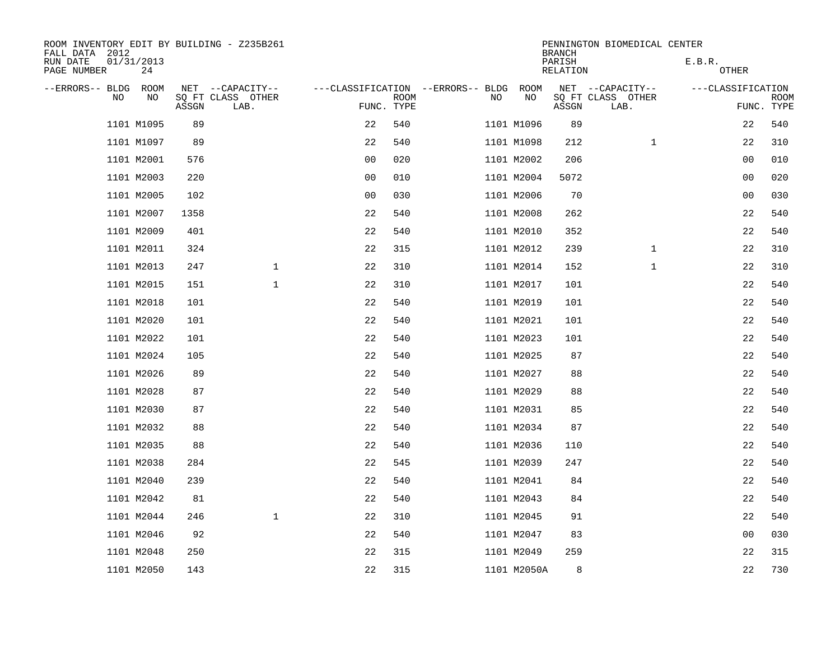| ROOM INVENTORY EDIT BY BUILDING - Z235B261<br>FALL DATA 2012 |                  |       |                           |                |             |                                        |             | <b>BRANCH</b>      | PENNINGTON BIOMEDICAL CENTER |                   |                           |
|--------------------------------------------------------------|------------------|-------|---------------------------|----------------|-------------|----------------------------------------|-------------|--------------------|------------------------------|-------------------|---------------------------|
| RUN DATE<br>PAGE NUMBER                                      | 01/31/2013<br>24 |       |                           |                |             |                                        |             | PARISH<br>RELATION |                              | E.B.R.<br>OTHER   |                           |
| --ERRORS-- BLDG ROOM                                         |                  |       | NET --CAPACITY--          |                |             | ---CLASSIFICATION --ERRORS-- BLDG ROOM |             |                    | NET --CAPACITY--             | ---CLASSIFICATION |                           |
| NO.                                                          | NO               | ASSGN | SQ FT CLASS OTHER<br>LAB. | FUNC. TYPE     | <b>ROOM</b> | NO                                     | NO          | ASSGN              | SQ FT CLASS OTHER<br>LAB.    |                   | <b>ROOM</b><br>FUNC. TYPE |
|                                                              | 1101 M1095       | 89    |                           | 22             | 540         |                                        | 1101 M1096  | 89                 |                              | 22                | 540                       |
|                                                              | 1101 M1097       | 89    |                           | 22             | 540         |                                        | 1101 M1098  | 212                | $\mathbf{1}$                 | 22                | 310                       |
|                                                              | 1101 M2001       | 576   |                           | 0 <sub>0</sub> | 020         |                                        | 1101 M2002  | 206                |                              | 0 <sub>0</sub>    | 010                       |
|                                                              | 1101 M2003       | 220   |                           | 0 <sub>0</sub> | 010         |                                        | 1101 M2004  | 5072               |                              | 0 <sub>0</sub>    | 020                       |
|                                                              | 1101 M2005       | 102   |                           | 00             | 030         |                                        | 1101 M2006  | 70                 |                              | 00                | 030                       |
|                                                              | 1101 M2007       | 1358  |                           | 22             | 540         |                                        | 1101 M2008  | 262                |                              | 22                | 540                       |
|                                                              | 1101 M2009       | 401   |                           | 22             | 540         |                                        | 1101 M2010  | 352                |                              | 22                | 540                       |
|                                                              | 1101 M2011       | 324   |                           | 22             | 315         |                                        | 1101 M2012  | 239                | $\mathbf{1}$                 | 22                | 310                       |
|                                                              | 1101 M2013       | 247   | $\mathbf 1$               | 22             | 310         |                                        | 1101 M2014  | 152                | $\mathbf{1}$                 | 22                | 310                       |
|                                                              | 1101 M2015       | 151   | $\mathbf{1}$              | 22             | 310         |                                        | 1101 M2017  | 101                |                              | 22                | 540                       |
|                                                              | 1101 M2018       | 101   |                           | 22             | 540         |                                        | 1101 M2019  | 101                |                              | 22                | 540                       |
|                                                              | 1101 M2020       | 101   |                           | 22             | 540         |                                        | 1101 M2021  | 101                |                              | 22                | 540                       |
|                                                              | 1101 M2022       | 101   |                           | 22             | 540         |                                        | 1101 M2023  | 101                |                              | 22                | 540                       |
|                                                              | 1101 M2024       | 105   |                           | 22             | 540         |                                        | 1101 M2025  | 87                 |                              | 22                | 540                       |
|                                                              | 1101 M2026       | 89    |                           | 22             | 540         |                                        | 1101 M2027  | 88                 |                              | 22                | 540                       |
|                                                              | 1101 M2028       | 87    |                           | 22             | 540         |                                        | 1101 M2029  | 88                 |                              | 22                | 540                       |
|                                                              | 1101 M2030       | 87    |                           | 22             | 540         |                                        | 1101 M2031  | 85                 |                              | 22                | 540                       |
|                                                              | 1101 M2032       | 88    |                           | 22             | 540         |                                        | 1101 M2034  | 87                 |                              | 22                | 540                       |
|                                                              | 1101 M2035       | 88    |                           | 22             | 540         |                                        | 1101 M2036  | 110                |                              | 22                | 540                       |
|                                                              | 1101 M2038       | 284   |                           | 22             | 545         |                                        | 1101 M2039  | 247                |                              | 22                | 540                       |
|                                                              | 1101 M2040       | 239   |                           | 22             | 540         |                                        | 1101 M2041  | 84                 |                              | 22                | 540                       |
|                                                              | 1101 M2042       | 81    |                           | 22             | 540         |                                        | 1101 M2043  | 84                 |                              | 22                | 540                       |
|                                                              | 1101 M2044       | 246   | $\mathbf{1}$              | 22             | 310         |                                        | 1101 M2045  | 91                 |                              | 22                | 540                       |
|                                                              | 1101 M2046       | 92    |                           | 22             | 540         |                                        | 1101 M2047  | 83                 |                              | 00                | 030                       |
|                                                              | 1101 M2048       | 250   |                           | 22             | 315         |                                        | 1101 M2049  | 259                |                              | 22                | 315                       |
|                                                              | 1101 M2050       | 143   |                           | 22             | 315         |                                        | 1101 M2050A | 8                  |                              | 22                | 730                       |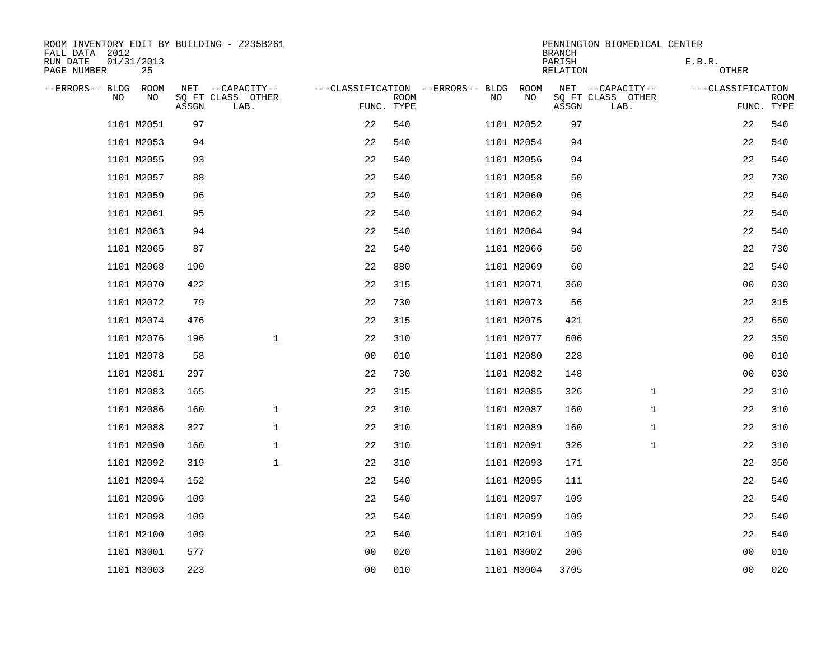| ROOM INVENTORY EDIT BY BUILDING - Z235B261<br>FALL DATA 2012 |                  |       |                           |                                        |             |    |            | <b>BRANCH</b>             | PENNINGTON BIOMEDICAL CENTER |                        |                           |  |  |  |
|--------------------------------------------------------------|------------------|-------|---------------------------|----------------------------------------|-------------|----|------------|---------------------------|------------------------------|------------------------|---------------------------|--|--|--|
| RUN DATE<br>PAGE NUMBER                                      | 01/31/2013<br>25 |       |                           |                                        |             |    |            | PARISH<br><b>RELATION</b> |                              | E.B.R.<br><b>OTHER</b> |                           |  |  |  |
| --ERRORS-- BLDG                                              | ROOM             |       | NET --CAPACITY--          | ---CLASSIFICATION --ERRORS-- BLDG ROOM |             |    |            |                           | NET --CAPACITY--             | ---CLASSIFICATION      |                           |  |  |  |
| NO.                                                          | NO               | ASSGN | SQ FT CLASS OTHER<br>LAB. | FUNC. TYPE                             | <b>ROOM</b> | NO | NO         | ASSGN                     | SQ FT CLASS OTHER<br>LAB.    |                        | <b>ROOM</b><br>FUNC. TYPE |  |  |  |
|                                                              | 1101 M2051       | 97    |                           | 22                                     | 540         |    | 1101 M2052 | 97                        |                              | 22                     | 540                       |  |  |  |
|                                                              | 1101 M2053       | 94    |                           | 22                                     | 540         |    | 1101 M2054 | 94                        |                              | 22                     | 540                       |  |  |  |
|                                                              | 1101 M2055       | 93    |                           | 22                                     | 540         |    | 1101 M2056 | 94                        |                              | 22                     | 540                       |  |  |  |
|                                                              | 1101 M2057       | 88    |                           | 22                                     | 540         |    | 1101 M2058 | 50                        |                              | 22                     | 730                       |  |  |  |
|                                                              | 1101 M2059       | 96    |                           | 22                                     | 540         |    | 1101 M2060 | 96                        |                              | 22                     | 540                       |  |  |  |
|                                                              | 1101 M2061       | 95    |                           | 22                                     | 540         |    | 1101 M2062 | 94                        |                              | 22                     | 540                       |  |  |  |
|                                                              | 1101 M2063       | 94    |                           | 22                                     | 540         |    | 1101 M2064 | 94                        |                              | 22                     | 540                       |  |  |  |
|                                                              | 1101 M2065       | 87    |                           | 22                                     | 540         |    | 1101 M2066 | 50                        |                              | 22                     | 730                       |  |  |  |
|                                                              | 1101 M2068       | 190   |                           | 22                                     | 880         |    | 1101 M2069 | 60                        |                              | 22                     | 540                       |  |  |  |
|                                                              | 1101 M2070       | 422   |                           | 22                                     | 315         |    | 1101 M2071 | 360                       |                              | 0 <sub>0</sub>         | 030                       |  |  |  |
|                                                              | 1101 M2072       | 79    |                           | 22                                     | 730         |    | 1101 M2073 | 56                        |                              | 22                     | 315                       |  |  |  |
|                                                              | 1101 M2074       | 476   |                           | 22                                     | 315         |    | 1101 M2075 | 421                       |                              | 22                     | 650                       |  |  |  |
|                                                              | 1101 M2076       | 196   | $\mathbf 1$               | 22                                     | 310         |    | 1101 M2077 | 606                       |                              | 22                     | 350                       |  |  |  |
|                                                              | 1101 M2078       | 58    |                           | 0 <sub>0</sub>                         | 010         |    | 1101 M2080 | 228                       |                              | 0 <sub>0</sub>         | 010                       |  |  |  |
|                                                              | 1101 M2081       | 297   |                           | 22                                     | 730         |    | 1101 M2082 | 148                       |                              | 0 <sub>0</sub>         | 030                       |  |  |  |
|                                                              | 1101 M2083       | 165   |                           | 22                                     | 315         |    | 1101 M2085 | 326                       | $\mathbf{1}$                 | 22                     | 310                       |  |  |  |
|                                                              | 1101 M2086       | 160   | $\mathbf 1$               | 22                                     | 310         |    | 1101 M2087 | 160                       | $\mathbf{1}$                 | 22                     | 310                       |  |  |  |
|                                                              | 1101 M2088       | 327   | $\mathbf{1}$              | 22                                     | 310         |    | 1101 M2089 | 160                       | $\mathbf{1}$                 | 22                     | 310                       |  |  |  |
|                                                              | 1101 M2090       | 160   | $\mathbf{1}$              | 22                                     | 310         |    | 1101 M2091 | 326                       | $\mathbf{1}$                 | 22                     | 310                       |  |  |  |
|                                                              | 1101 M2092       | 319   | $\mathbf 1$               | 22                                     | 310         |    | 1101 M2093 | 171                       |                              | 22                     | 350                       |  |  |  |
|                                                              | 1101 M2094       | 152   |                           | 22                                     | 540         |    | 1101 M2095 | 111                       |                              | 22                     | 540                       |  |  |  |
|                                                              | 1101 M2096       | 109   |                           | 22                                     | 540         |    | 1101 M2097 | 109                       |                              | 22                     | 540                       |  |  |  |
|                                                              | 1101 M2098       | 109   |                           | 22                                     | 540         |    | 1101 M2099 | 109                       |                              | 22                     | 540                       |  |  |  |
|                                                              | 1101 M2100       | 109   |                           | 22                                     | 540         |    | 1101 M2101 | 109                       |                              | 22                     | 540                       |  |  |  |
|                                                              | 1101 M3001       | 577   |                           | 0 <sub>0</sub>                         | 020         |    | 1101 M3002 | 206                       |                              | 00                     | 010                       |  |  |  |
|                                                              | 1101 M3003       | 223   |                           | 00                                     | 010         |    | 1101 M3004 | 3705                      |                              | 0 <sub>0</sub>         | 020                       |  |  |  |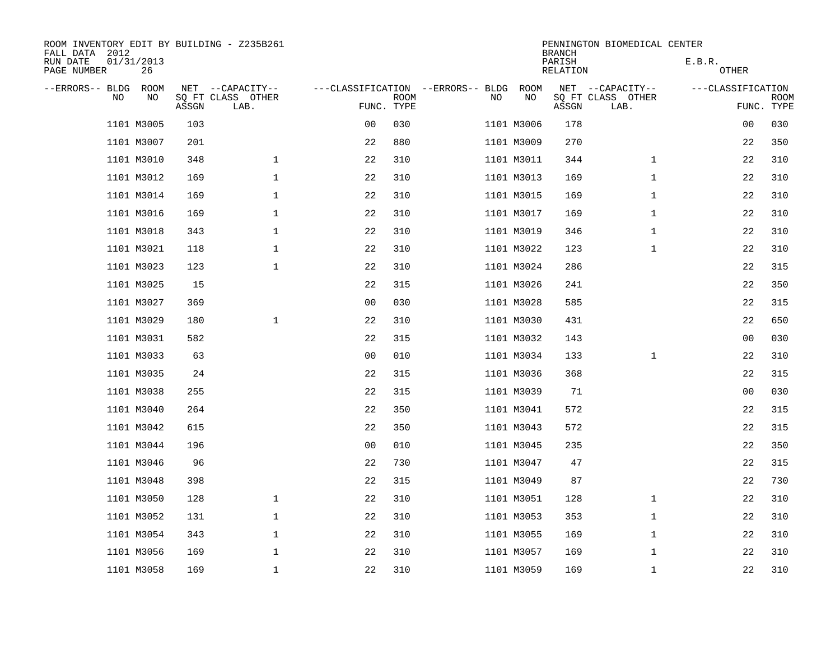| ROOM INVENTORY EDIT BY BUILDING - Z235B261<br>FALL DATA 2012 |            |       |                           |                                   |             |    |                           | <b>BRANCH</b> | PENNINGTON BIOMEDICAL CENTER |                   |                           |  |  |
|--------------------------------------------------------------|------------|-------|---------------------------|-----------------------------------|-------------|----|---------------------------|---------------|------------------------------|-------------------|---------------------------|--|--|
| RUN DATE<br>01/31/2013<br>PAGE NUMBER                        |            |       |                           |                                   |             |    | PARISH<br><b>RELATION</b> |               | E.B.R.<br><b>OTHER</b>       |                   |                           |  |  |
| --ERRORS-- BLDG                                              | ROOM<br>NO |       | NET --CAPACITY--          | ---CLASSIFICATION --ERRORS-- BLDG |             |    | ROOM<br>NO                |               | NET --CAPACITY--             | ---CLASSIFICATION |                           |  |  |
| NO.                                                          |            | ASSGN | SQ FT CLASS OTHER<br>LAB. | FUNC. TYPE                        | <b>ROOM</b> | NO |                           | ASSGN         | SQ FT CLASS OTHER<br>LAB.    |                   | <b>ROOM</b><br>FUNC. TYPE |  |  |
|                                                              | 1101 M3005 | 103   |                           | 0 <sub>0</sub>                    | 030         |    | 1101 M3006                | 178           |                              | 00                | 030                       |  |  |
|                                                              | 1101 M3007 | 201   |                           | 22                                | 880         |    | 1101 M3009                | 270           |                              | 22                | 350                       |  |  |
|                                                              | 1101 M3010 | 348   | $\mathbf 1$               | 22                                | 310         |    | 1101 M3011                | 344           | $\mathbf{1}$                 | 22                | 310                       |  |  |
|                                                              | 1101 M3012 | 169   | $\mathbf 1$               | 22                                | 310         |    | 1101 M3013                | 169           | $\mathbf{1}$                 | 22                | 310                       |  |  |
|                                                              | 1101 M3014 | 169   | $\mathbf 1$               | 22                                | 310         |    | 1101 M3015                | 169           | $\mathbf{1}$                 | 22                | 310                       |  |  |
|                                                              | 1101 M3016 | 169   | $\mathbf 1$               | 22                                | 310         |    | 1101 M3017                | 169           | $\mathbf{1}$                 | 22                | 310                       |  |  |
|                                                              | 1101 M3018 | 343   | $\mathbf 1$               | 22                                | 310         |    | 1101 M3019                | 346           | $\mathbf{1}$                 | 22                | 310                       |  |  |
|                                                              | 1101 M3021 | 118   | $\mathbf 1$               | 22                                | 310         |    | 1101 M3022                | 123           | $\mathbf{1}$                 | 22                | 310                       |  |  |
|                                                              | 1101 M3023 | 123   | $\mathbf 1$               | 22                                | 310         |    | 1101 M3024                | 286           |                              | 22                | 315                       |  |  |
|                                                              | 1101 M3025 | 15    |                           | 22                                | 315         |    | 1101 M3026                | 241           |                              | 22                | 350                       |  |  |
|                                                              | 1101 M3027 | 369   |                           | 0 <sub>0</sub>                    | 030         |    | 1101 M3028                | 585           |                              | 22                | 315                       |  |  |
|                                                              | 1101 M3029 | 180   | $\mathbf{1}$              | 22                                | 310         |    | 1101 M3030                | 431           |                              | 22                | 650                       |  |  |
|                                                              | 1101 M3031 | 582   |                           | 22                                | 315         |    | 1101 M3032                | 143           |                              | 0 <sub>0</sub>    | 030                       |  |  |
|                                                              | 1101 M3033 | 63    |                           | 0 <sub>0</sub>                    | 010         |    | 1101 M3034                | 133           | $\mathbf{1}$                 | 22                | 310                       |  |  |
|                                                              | 1101 M3035 | 24    |                           | 22                                | 315         |    | 1101 M3036                | 368           |                              | 22                | 315                       |  |  |
|                                                              | 1101 M3038 | 255   |                           | 22                                | 315         |    | 1101 M3039                | 71            |                              | 00                | 030                       |  |  |
|                                                              | 1101 M3040 | 264   |                           | 22                                | 350         |    | 1101 M3041                | 572           |                              | 22                | 315                       |  |  |
|                                                              | 1101 M3042 | 615   |                           | 22                                | 350         |    | 1101 M3043                | 572           |                              | 22                | 315                       |  |  |
|                                                              | 1101 M3044 | 196   |                           | 0 <sub>0</sub>                    | 010         |    | 1101 M3045                | 235           |                              | 22                | 350                       |  |  |
|                                                              | 1101 M3046 | 96    |                           | 22                                | 730         |    | 1101 M3047                | 47            |                              | 22                | 315                       |  |  |
|                                                              | 1101 M3048 | 398   |                           | 22                                | 315         |    | 1101 M3049                | 87            |                              | 22                | 730                       |  |  |
|                                                              | 1101 M3050 | 128   | $\mathbf 1$               | 22                                | 310         |    | 1101 M3051                | 128           | $\mathbf{1}$                 | 22                | 310                       |  |  |
|                                                              | 1101 M3052 | 131   | $\mathbf 1$               | 22                                | 310         |    | 1101 M3053                | 353           | $\mathbf{1}$                 | 22                | 310                       |  |  |
|                                                              | 1101 M3054 | 343   | $\mathbf 1$               | 22                                | 310         |    | 1101 M3055                | 169           | $\mathbf{1}$                 | 22                | 310                       |  |  |
|                                                              | 1101 M3056 | 169   | $\mathbf 1$               | 22                                | 310         |    | 1101 M3057                | 169           | $\mathbf{1}$                 | 22                | 310                       |  |  |
|                                                              | 1101 M3058 | 169   | $\mathbf{1}$              | 22                                | 310         |    | 1101 M3059                | 169           | $\mathbf{1}$                 | 22                | 310                       |  |  |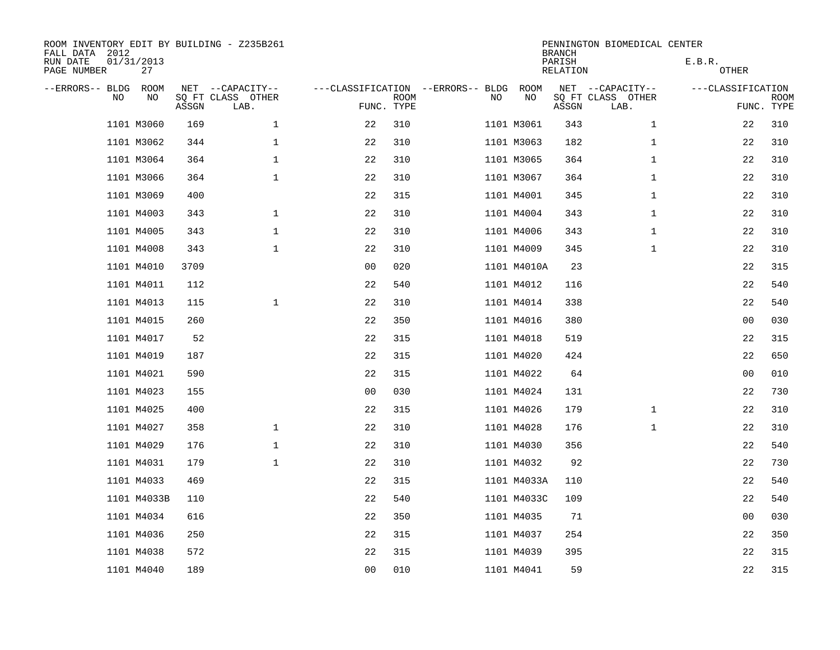| ROOM INVENTORY EDIT BY BUILDING - Z235B261<br>FALL DATA 2012 |                  |       |                           |                                   |                           |    |             | <b>BRANCH</b>             | PENNINGTON BIOMEDICAL CENTER |                   |                           |
|--------------------------------------------------------------|------------------|-------|---------------------------|-----------------------------------|---------------------------|----|-------------|---------------------------|------------------------------|-------------------|---------------------------|
| RUN DATE<br>PAGE NUMBER                                      | 01/31/2013<br>27 |       |                           |                                   |                           |    |             | PARISH<br><b>RELATION</b> |                              | E.B.R.<br>OTHER   |                           |
| --ERRORS-- BLDG                                              | ROOM             |       | NET --CAPACITY--          | ---CLASSIFICATION --ERRORS-- BLDG |                           |    | ROOM        |                           | NET --CAPACITY--             | ---CLASSIFICATION |                           |
| NO.                                                          | NO               | ASSGN | SQ FT CLASS OTHER<br>LAB. |                                   | <b>ROOM</b><br>FUNC. TYPE | NO | NO          | ASSGN                     | SQ FT CLASS OTHER<br>LAB.    |                   | <b>ROOM</b><br>FUNC. TYPE |
|                                                              | 1101 M3060       | 169   | $\mathbf{1}$              | 22                                | 310                       |    | 1101 M3061  | 343                       | $\mathbf{1}$                 | 22                | 310                       |
|                                                              | 1101 M3062       | 344   | $\mathbf{1}$              | 22                                | 310                       |    | 1101 M3063  | 182                       | $\mathbf{1}$                 | 22                | 310                       |
|                                                              | 1101 M3064       | 364   | $\mathbf 1$               | 22                                | 310                       |    | 1101 M3065  | 364                       | $\mathbf{1}$                 | 22                | 310                       |
|                                                              | 1101 M3066       | 364   | $\mathbf 1$               | 22                                | 310                       |    | 1101 M3067  | 364                       | $\mathbf{1}$                 | 22                | 310                       |
|                                                              | 1101 M3069       | 400   |                           | 22                                | 315                       |    | 1101 M4001  | 345                       | $\mathbf{1}$                 | 22                | 310                       |
|                                                              | 1101 M4003       | 343   | $\mathbf 1$               | 22                                | 310                       |    | 1101 M4004  | 343                       | $\mathbf{1}$                 | 22                | 310                       |
|                                                              | 1101 M4005       | 343   | $\mathbf{1}$              | 22                                | 310                       |    | 1101 M4006  | 343                       | $\mathbf{1}$                 | 22                | 310                       |
|                                                              | 1101 M4008       | 343   | $\mathbf 1$               | 22                                | 310                       |    | 1101 M4009  | 345                       | $\mathbf{1}$                 | 22                | 310                       |
|                                                              | 1101 M4010       | 3709  |                           | 0 <sub>0</sub>                    | 020                       |    | 1101 M4010A | 23                        |                              | 22                | 315                       |
|                                                              | 1101 M4011       | 112   |                           | 22                                | 540                       |    | 1101 M4012  | 116                       |                              | 22                | 540                       |
|                                                              | 1101 M4013       | 115   | $\mathbf 1$               | 22                                | 310                       |    | 1101 M4014  | 338                       |                              | 22                | 540                       |
|                                                              | 1101 M4015       | 260   |                           | 22                                | 350                       |    | 1101 M4016  | 380                       |                              | 0 <sub>0</sub>    | 030                       |
|                                                              | 1101 M4017       | 52    |                           | 22                                | 315                       |    | 1101 M4018  | 519                       |                              | 22                | 315                       |
|                                                              | 1101 M4019       | 187   |                           | 22                                | 315                       |    | 1101 M4020  | 424                       |                              | 22                | 650                       |
|                                                              | 1101 M4021       | 590   |                           | 22                                | 315                       |    | 1101 M4022  | 64                        |                              | 00                | 010                       |
|                                                              | 1101 M4023       | 155   |                           | 0 <sub>0</sub>                    | 030                       |    | 1101 M4024  | 131                       |                              | 22                | 730                       |
|                                                              | 1101 M4025       | 400   |                           | 22                                | 315                       |    | 1101 M4026  | 179                       | $\mathbf{1}$                 | 22                | 310                       |
|                                                              | 1101 M4027       | 358   | $\mathbf 1$               | 22                                | 310                       |    | 1101 M4028  | 176                       | $\mathbf{1}$                 | 22                | 310                       |
|                                                              | 1101 M4029       | 176   | $\mathbf{1}$              | 22                                | 310                       |    | 1101 M4030  | 356                       |                              | 22                | 540                       |
|                                                              | 1101 M4031       | 179   | $\mathbf 1$               | 22                                | 310                       |    | 1101 M4032  | 92                        |                              | 22                | 730                       |
|                                                              | 1101 M4033       | 469   |                           | 22                                | 315                       |    | 1101 M4033A | 110                       |                              | 22                | 540                       |
|                                                              | 1101 M4033B      | 110   |                           | 22                                | 540                       |    | 1101 M4033C | 109                       |                              | 22                | 540                       |
|                                                              | 1101 M4034       | 616   |                           | 22                                | 350                       |    | 1101 M4035  | 71                        |                              | 0 <sub>0</sub>    | 030                       |
|                                                              | 1101 M4036       | 250   |                           | 22                                | 315                       |    | 1101 M4037  | 254                       |                              | 22                | 350                       |
|                                                              | 1101 M4038       | 572   |                           | 22                                | 315                       |    | 1101 M4039  | 395                       |                              | 22                | 315                       |
|                                                              | 1101 M4040       | 189   |                           | 0 <sub>0</sub>                    | 010                       |    | 1101 M4041  | 59                        |                              | 22                | 315                       |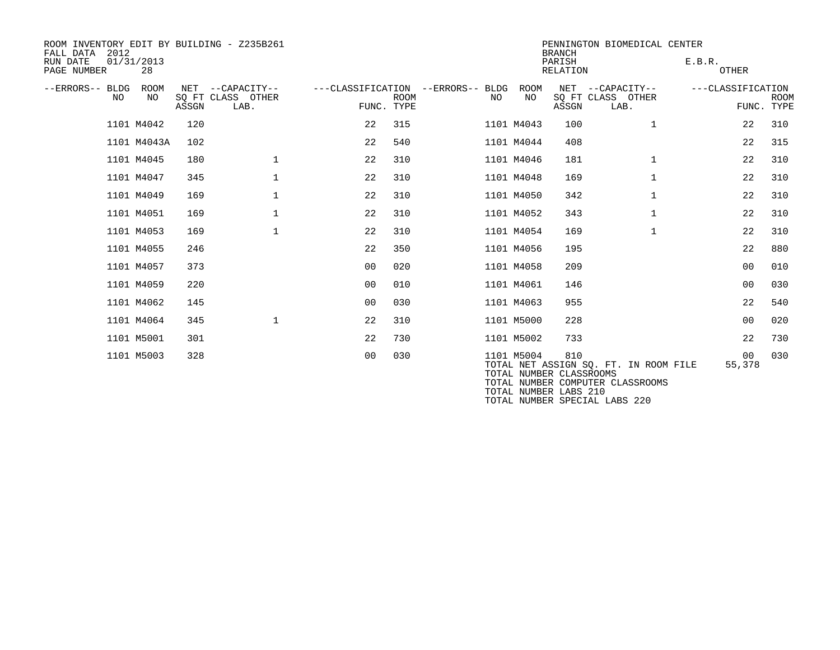| ROOM INVENTORY EDIT BY BUILDING - Z235B261<br>FALL DATA 2012 |                  |       |                                               |                |             |                                         |            | <b>BRANCH</b>                  | PENNINGTON BIOMEDICAL CENTER                                              |                        |                           |
|--------------------------------------------------------------|------------------|-------|-----------------------------------------------|----------------|-------------|-----------------------------------------|------------|--------------------------------|---------------------------------------------------------------------------|------------------------|---------------------------|
| RUN DATE<br>PAGE NUMBER                                      | 01/31/2013<br>28 |       |                                               |                |             |                                         |            | PARISH<br><b>RELATION</b>      |                                                                           | E.B.R.<br><b>OTHER</b> |                           |
| --ERRORS-- BLDG<br>NO.                                       | ROOM<br>NO.      | ASSGN | NET --CAPACITY--<br>SO FT CLASS OTHER<br>LAB. | FUNC. TYPE     | <b>ROOM</b> | ---CLASSIFICATION --ERRORS-- BLDG<br>NO | ROOM<br>NO | ASSGN                          | NET --CAPACITY--<br>SQ FT CLASS OTHER<br>LAB.                             | ---CLASSIFICATION      | <b>ROOM</b><br>FUNC. TYPE |
|                                                              | 1101 M4042       | 120   |                                               | 22             | 315         |                                         | 1101 M4043 | 100                            | $\mathbf{1}$                                                              | 22                     | 310                       |
|                                                              | 1101 M4043A      | 102   |                                               | 22             | 540         |                                         | 1101 M4044 | 408                            |                                                                           | 22                     | 315                       |
|                                                              | 1101 M4045       | 180   | $\mathbf{1}$                                  | 22             | 310         |                                         | 1101 M4046 | 181                            | $\mathbf{1}$                                                              | 22                     | 310                       |
|                                                              | 1101 M4047       | 345   | $\mathbf 1$                                   | 22             | 310         |                                         | 1101 M4048 | 169                            | $\mathbf{1}$                                                              | 22                     | 310                       |
|                                                              | 1101 M4049       | 169   | $\mathbf 1$                                   | 22             | 310         |                                         | 1101 M4050 | 342                            | $\mathbf{1}$                                                              | 22                     | 310                       |
|                                                              | 1101 M4051       | 169   | $\mathbf 1$                                   | 22             | 310         |                                         | 1101 M4052 | 343                            | $\mathbf{1}$                                                              | 22                     | 310                       |
|                                                              | 1101 M4053       | 169   | $\mathbf{1}$                                  | 22             | 310         |                                         | 1101 M4054 | 169                            | $\mathbf{1}$                                                              | 22                     | 310                       |
|                                                              | 1101 M4055       | 246   |                                               | 22             | 350         |                                         | 1101 M4056 | 195                            |                                                                           | 22                     | 880                       |
|                                                              | 1101 M4057       | 373   |                                               | 0 <sub>0</sub> | 020         |                                         | 1101 M4058 | 209                            |                                                                           | 0 <sub>0</sub>         | 010                       |
|                                                              | 1101 M4059       | 220   |                                               | 0 <sup>0</sup> | 010         |                                         | 1101 M4061 | 146                            |                                                                           | 0 <sub>0</sub>         | 030                       |
|                                                              | 1101 M4062       | 145   |                                               | 0 <sub>0</sub> | 030         |                                         | 1101 M4063 | 955                            |                                                                           | 22                     | 540                       |
|                                                              | 1101 M4064       | 345   | $\mathbf 1$                                   | 22             | 310         |                                         | 1101 M5000 | 228                            |                                                                           | 0 <sub>0</sub>         | 020                       |
|                                                              | 1101 M5001       | 301   |                                               | 22             | 730         |                                         | 1101 M5002 | 733                            |                                                                           | 22                     | 730                       |
|                                                              | 1101 M5003       | 328   |                                               | 0 <sub>0</sub> | 030         |                                         | 1101 M5004 | 810<br>TOTAL NUMBER CLASSROOMS | TOTAL NET ASSIGN SQ. FT. IN ROOM FILE<br>TOTAL NUMBER COMPUTER CLASSROOMS | 00<br>55,378           | 030                       |

TOTAL NUMBER LABS 210

TOTAL NUMBER SPECIAL LABS 220